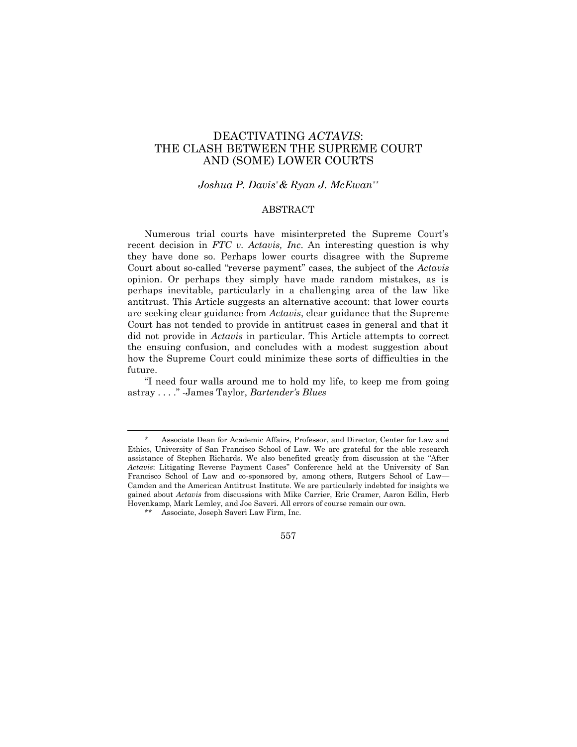# DEACTIVATING *ACTAVIS*: THE CLASH BETWEEN THE SUPREME COURT AND (SOME) LOWER COURTS

#### *Joshua P. Davis*\**& Ryan J. McEwan*\*\*

## **ABSTRACT**

Numerous trial courts have misinterpreted the Supreme Court's recent decision in *FTC v. Actavis, Inc*. An interesting question is why they have done so. Perhaps lower courts disagree with the Supreme Court about so-called "reverse payment" cases, the subject of the *Actavis* opinion. Or perhaps they simply have made random mistakes, as is perhaps inevitable, particularly in a challenging area of the law like antitrust. This Article suggests an alternative account: that lower courts are seeking clear guidance from *Actavis*, clear guidance that the Supreme Court has not tended to provide in antitrust cases in general and that it did not provide in *Actavis* in particular. This Article attempts to correct the ensuing confusion, and concludes with a modest suggestion about how the Supreme Court could minimize these sorts of difficulties in the future.

"I need four walls around me to hold my life, to keep me from going astray . . . ." -James Taylor, *Bartender's Blues*

Associate Dean for Academic Affairs, Professor, and Director, Center for Law and Ethics, University of San Francisco School of Law. We are grateful for the able research assistance of Stephen Richards. We also benefited greatly from discussion at the "After *Actavis*: Litigating Reverse Payment Cases" Conference held at the University of San Francisco School of Law and co-sponsored by, among others, Rutgers School of Law— Camden and the American Antitrust Institute. We are particularly indebted for insights we gained about *Actavis* from discussions with Mike Carrier, Eric Cramer, Aaron Edlin, Herb Hovenkamp, Mark Lemley, and Joe Saveri. All errors of course remain our own.

Associate, Joseph Saveri Law Firm, Inc.

<sup>557</sup>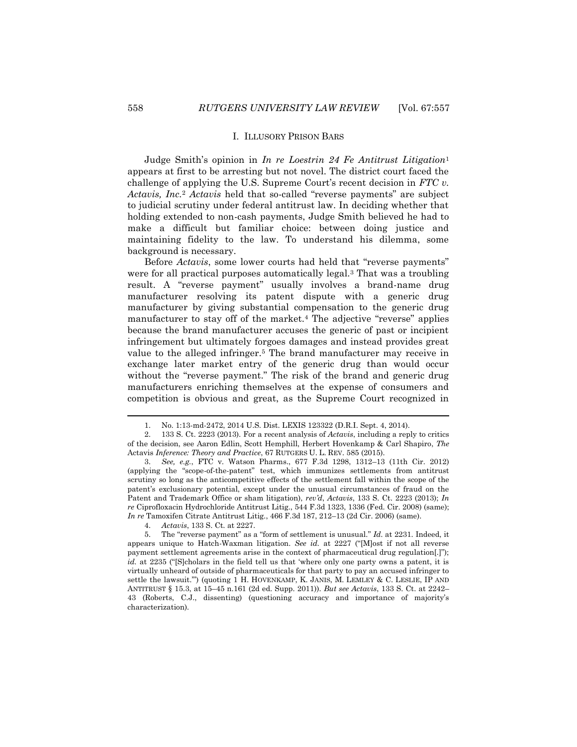Judge Smith's opinion in *In re Loestrin 24 Fe Antitrust Litigation*<sup>1</sup> appears at first to be arresting but not novel. The district court faced the challenge of applying the U.S. Supreme Court's recent decision in *FTC v. Actavis, Inc.*<sup>2</sup> *Actavis* held that so-called "reverse payments" are subject to judicial scrutiny under federal antitrust law. In deciding whether that holding extended to non-cash payments, Judge Smith believed he had to make a difficult but familiar choice: between doing justice and maintaining fidelity to the law. To understand his dilemma, some background is necessary.

Before *Actavis*, some lower courts had held that "reverse payments" were for all practical purposes automatically legal.<sup>3</sup> That was a troubling result. A "reverse payment" usually involves a brand-name drug manufacturer resolving its patent dispute with a generic drug manufacturer by giving substantial compensation to the generic drug manufacturer to stay off of the market.<sup>4</sup> The adjective "reverse" applies because the brand manufacturer accuses the generic of past or incipient infringement but ultimately forgoes damages and instead provides great value to the alleged infringer.<sup>5</sup> The brand manufacturer may receive in exchange later market entry of the generic drug than would occur without the "reverse payment." The risk of the brand and generic drug manufacturers enriching themselves at the expense of consumers and competition is obvious and great, as the Supreme Court recognized in

 $\overline{\phantom{a}}$ 

<sup>1.</sup> No. 1:13-md-2472, 2014 U.S. Dist. LEXIS 123322 (D.R.I. Sept. 4, 2014).

<sup>2.</sup> 133 S. Ct. 2223 (2013). For a recent analysis of *Actavis*, including a reply to critics of the decision, see Aaron Edlin, Scott Hemphill, Herbert Hovenkamp & Carl Shapiro, *The*  Actavis *Inference: Theory and Practice*, 67 RUTGERS U. L. REV. 585 (2015).

<sup>3.</sup> *See, e.g.*, FTC v. Watson Pharms., 677 F.3d 1298, 1312–13 (11th Cir. 2012) (applying the "scope-of-the-patent" test, which immunizes settlements from antitrust scrutiny so long as the anticompetitive effects of the settlement fall within the scope of the patent's exclusionary potential, except under the unusual circumstances of fraud on the Patent and Trademark Office or sham litigation), *rev'd*, *Actavis*, 133 S. Ct. 2223 (2013); *In re* Ciprofloxacin Hydrochloride Antitrust Litig., 544 F.3d 1323, 1336 (Fed. Cir. 2008) (same); *In re* Tamoxifen Citrate Antitrust Litig., 466 F.3d 187, 212–13 (2d Cir. 2006) (same).

<sup>4.</sup> *Actavis*, 133 S. Ct. at 2227.

<sup>5.</sup> The "reverse payment" as a "form of settlement is unusual." *Id.* at 2231. Indeed, it appears unique to Hatch-Waxman litigation. *See id.* at 2227 ("[M]ost if not all reverse payment settlement agreements arise in the context of pharmaceutical drug regulation[.]"); *id.* at 2235 ("S cholars in the field tell us that 'where only one party owns a patent, it is virtually unheard of outside of pharmaceuticals for that party to pay an accused infringer to settle the lawsuit.'") (quoting 1 H. HOVENKAMP, K. JANIS, M. LEMLEY & C. LESLIE, IP AND ANTITRUST § 15.3, at 15–45 n.161 (2d ed. Supp. 2011)). *But see Actavis*, 133 S. Ct. at 2242– 43 (Roberts, C.J., dissenting) (questioning accuracy and importance of majority's characterization).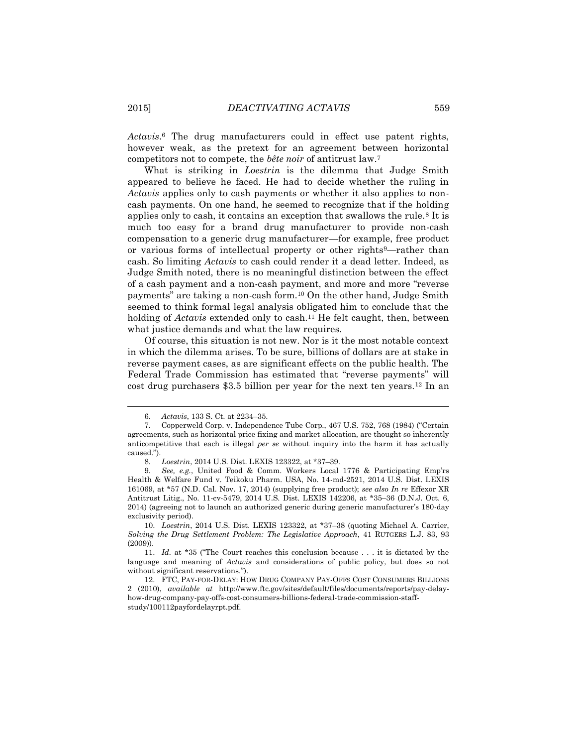*Actavis*. <sup>6</sup> The drug manufacturers could in effect use patent rights, however weak, as the pretext for an agreement between horizontal competitors not to compete, the *bête noir* of antitrust law.<sup>7</sup>

What is striking in *Loestrin* is the dilemma that Judge Smith appeared to believe he faced. He had to decide whether the ruling in *Actavis* applies only to cash payments or whether it also applies to noncash payments. On one hand, he seemed to recognize that if the holding applies only to cash, it contains an exception that swallows the rule.<sup>8</sup> It is much too easy for a brand drug manufacturer to provide non-cash compensation to a generic drug manufacturer—for example, free product or various forms of intellectual property or other rights9—rather than cash. So limiting *Actavis* to cash could render it a dead letter. Indeed, as Judge Smith noted, there is no meaningful distinction between the effect of a cash payment and a non-cash payment, and more and more "reverse payments" are taking a non-cash form.<sup>10</sup> On the other hand, Judge Smith seemed to think formal legal analysis obligated him to conclude that the holding of *Actavis* extended only to cash.<sup>11</sup> He felt caught, then, between what justice demands and what the law requires.

Of course, this situation is not new. Nor is it the most notable context in which the dilemma arises. To be sure, billions of dollars are at stake in reverse payment cases, as are significant effects on the public health. The Federal Trade Commission has estimated that "reverse payments" will cost drug purchasers \$3.5 billion per year for the next ten years.<sup>12</sup> In an

<sup>6.</sup> *Actavis*, 133 S. Ct. at 2234–35.

<sup>7.</sup> Copperweld Corp. v. Independence Tube Corp., 467 U.S. 752, 768 (1984) ("Certain agreements, such as horizontal price fixing and market allocation, are thought so inherently anticompetitive that each is illegal *per se* without inquiry into the harm it has actually caused.").

<sup>8.</sup> *Loestrin*, 2014 U.S. Dist. LEXIS 123322, at \*37–39.

<sup>9.</sup> *See, e.g.*, United Food & Comm. Workers Local 1776 & Participating Emp'rs Health & Welfare Fund v. Teikoku Pharm. USA, No. 14-md-2521, 2014 U.S. Dist. LEXIS 161069, at \*57 (N.D. Cal. Nov. 17, 2014) (supplying free product); *see also In re* Effexor XR Antitrust Litig., No. 11-cv-5479, 2014 U.S. Dist. LEXIS 142206, at \*35–36 (D.N.J. Oct. 6, 2014) (agreeing not to launch an authorized generic during generic manufacturer's 180-day exclusivity period).

<sup>10.</sup> *Loestrin*, 2014 U.S. Dist. LEXIS 123322, at \*37–38 (quoting Michael A. Carrier, *Solving the Drug Settlement Problem: The Legislative Approach*, 41 RUTGERS L.J. 83, 93 (2009)).

<sup>11.</sup> *Id.* at \*35 ("The Court reaches this conclusion because . . . it is dictated by the language and meaning of *Actavis* and considerations of public policy, but does so not without significant reservations.").

<sup>12.</sup> FTC, PAY-FOR-DELAY: HOW DRUG COMPANY PAY-OFFS COST CONSUMERS BILLIONS 2 (2010), *available at* http://www.ftc.gov/sites/default/files/documents/reports/pay-delayhow-drug-company-pay-offs-cost-consumers-billions-federal-trade-commission-staffstudy/100112payfordelayrpt.pdf.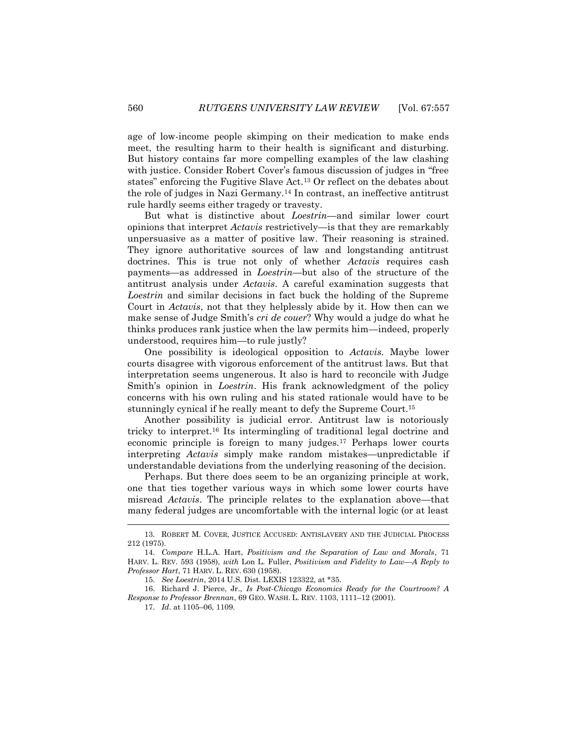age of low-income people skimping on their medication to make ends meet, the resulting harm to their health is significant and disturbing. But history contains far more compelling examples of the law clashing with justice. Consider Robert Cover's famous discussion of judges in "free states" enforcing the Fugitive Slave Act.<sup>13</sup> Or reflect on the debates about the role of judges in Nazi Germany.<sup>14</sup> In contrast, an ineffective antitrust rule hardly seems either tragedy or travesty.

But what is distinctive about *Loestrin*—and similar lower court opinions that interpret *Actavis* restrictively—is that they are remarkably unpersuasive as a matter of positive law. Their reasoning is strained. They ignore authoritative sources of law and longstanding antitrust doctrines. This is true not only of whether *Actavis* requires cash payments—as addressed in *Loestrin*—but also of the structure of the antitrust analysis under *Actavis*. A careful examination suggests that *Loestrin* and similar decisions in fact buck the holding of the Supreme Court in *Actavis*, not that they helplessly abide by it. How then can we make sense of Judge Smith's *cri de couer*? Why would a judge do what he thinks produces rank justice when the law permits him—indeed, properly understood, requires him—to rule justly?

One possibility is ideological opposition to *Actavis*. Maybe lower courts disagree with vigorous enforcement of the antitrust laws. But that interpretation seems ungenerous. It also is hard to reconcile with Judge Smith's opinion in *Loestrin*. His frank acknowledgment of the policy concerns with his own ruling and his stated rationale would have to be stunningly cynical if he really meant to defy the Supreme Court.<sup>15</sup>

Another possibility is judicial error. Antitrust law is notoriously tricky to interpret.<sup>16</sup> Its intermingling of traditional legal doctrine and economic principle is foreign to many judges.<sup>17</sup> Perhaps lower courts interpreting *Actavis* simply make random mistakes—unpredictable if understandable deviations from the underlying reasoning of the decision.

Perhaps. But there does seem to be an organizing principle at work, one that ties together various ways in which some lower courts have misread *Actavis*. The principle relates to the explanation above—that many federal judges are uncomfortable with the internal logic (or at least

 $\overline{\phantom{a}}$ 

<sup>13.</sup> ROBERT M. COVER, JUSTICE ACCUSED: ANTISLAVERY AND THE JUDICIAL PROCESS 212 (1975).

<sup>14.</sup> *Compare* H.L.A. Hart, *Positivism and the Separation of Law and Morals*, 71 HARV. L. REV. 593 (1958), *with* Lon L. Fuller, *Positivism and Fidelity to Law—A Reply to Professor Hart*, 71 HARV. L. REV. 630 (1958).

<sup>15.</sup> *See Loestrin*, 2014 U.S. Dist. LEXIS 123322, at \*35.

<sup>16.</sup> Richard J. Pierce, Jr., *Is Post-Chicago Economics Ready for the Courtroom? A Response to Professor Brennan*, 69 GEO. WASH. L. REV. 1103, 1111–12 (2001).

<sup>17.</sup> *Id.* at 1105–06, 1109.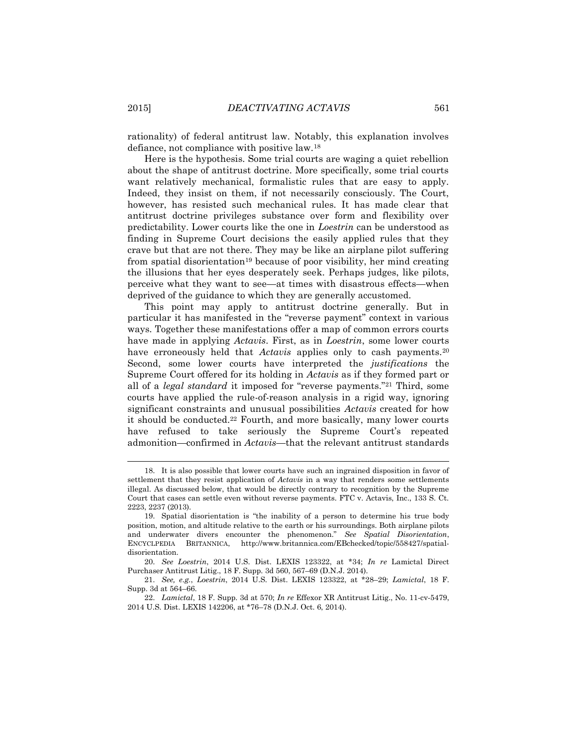rationality) of federal antitrust law. Notably, this explanation involves defiance, not compliance with positive law.<sup>18</sup>

Here is the hypothesis. Some trial courts are waging a quiet rebellion about the shape of antitrust doctrine. More specifically, some trial courts want relatively mechanical, formalistic rules that are easy to apply. Indeed, they insist on them, if not necessarily consciously. The Court, however, has resisted such mechanical rules. It has made clear that antitrust doctrine privileges substance over form and flexibility over predictability. Lower courts like the one in *Loestrin* can be understood as finding in Supreme Court decisions the easily applied rules that they crave but that are not there. They may be like an airplane pilot suffering from spatial disorientation<sup>19</sup> because of poor visibility, her mind creating the illusions that her eyes desperately seek. Perhaps judges, like pilots, perceive what they want to see—at times with disastrous effects—when deprived of the guidance to which they are generally accustomed.

This point may apply to antitrust doctrine generally. But in particular it has manifested in the "reverse payment" context in various ways. Together these manifestations offer a map of common errors courts have made in applying *Actavis*. First, as in *Loestrin*, some lower courts have erroneously held that *Actavis* applies only to cash payments.<sup>20</sup> Second, some lower courts have interpreted the *justifications* the Supreme Court offered for its holding in *Actavis* as if they formed part or all of a *legal standard* it imposed for "reverse payments."<sup>21</sup> Third, some courts have applied the rule-of-reason analysis in a rigid way, ignoring significant constraints and unusual possibilities *Actavis* created for how it should be conducted.<sup>22</sup> Fourth, and more basically, many lower courts have refused to take seriously the Supreme Court's repeated admonition—confirmed in *Actavis*—that the relevant antitrust standards

<sup>18.</sup> It is also possible that lower courts have such an ingrained disposition in favor of settlement that they resist application of *Actavis* in a way that renders some settlements illegal. As discussed below, that would be directly contrary to recognition by the Supreme Court that cases can settle even without reverse payments. FTC v. Actavis, Inc., 133 S. Ct. 2223, 2237 (2013).

<sup>19.</sup> Spatial disorientation is "the inability of a person to determine his true body position, motion, and altitude relative to the earth or his surroundings. Both airplane pilots and underwater divers encounter the phenomenon." *See Spatial Disorientation*, ENCYCLPEDIA BRITANNICA, http://www.britannica.com/EBchecked/topic/558427/spatialdisorientation.

<sup>20.</sup> *See Loestrin*, 2014 U.S. Dist. LEXIS 123322, at \*34; *In re* Lamictal Direct Purchaser Antitrust Litig., 18 F. Supp. 3d 560, 567–69 (D.N.J. 2014).

<sup>21.</sup> *See, e.g.*, *Loestrin*, 2014 U.S. Dist. LEXIS 123322, at \*28–29; *Lamictal*, 18 F. Supp. 3d at 564–66.

<sup>22.</sup> *Lamictal*, 18 F. Supp. 3d at 570; *In re* Effexor XR Antitrust Litig., No. 11-cv-5479, 2014 U.S. Dist. LEXIS 142206, at \*76–78 (D.N.J. Oct. 6, 2014).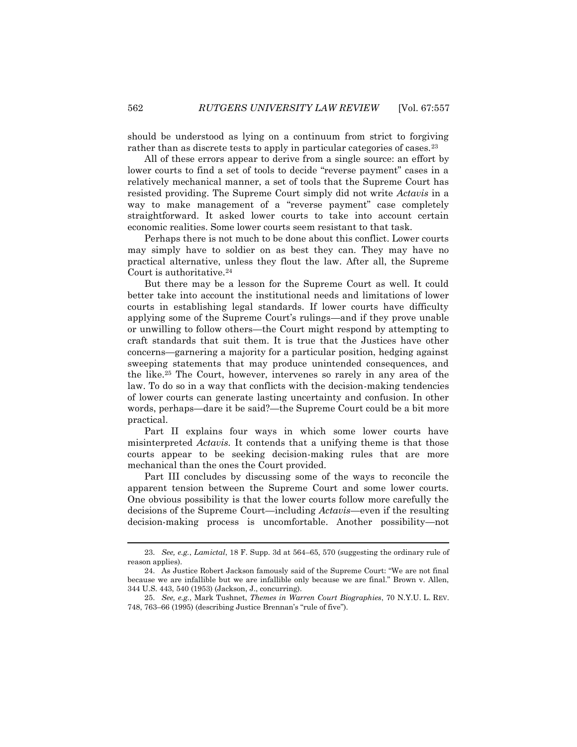should be understood as lying on a continuum from strict to forgiving rather than as discrete tests to apply in particular categories of cases.<sup>23</sup>

All of these errors appear to derive from a single source: an effort by lower courts to find a set of tools to decide "reverse payment" cases in a relatively mechanical manner, a set of tools that the Supreme Court has resisted providing. The Supreme Court simply did not write *Actavis* in a way to make management of a "reverse payment" case completely straightforward. It asked lower courts to take into account certain economic realities. Some lower courts seem resistant to that task.

Perhaps there is not much to be done about this conflict. Lower courts may simply have to soldier on as best they can. They may have no practical alternative, unless they flout the law. After all, the Supreme Court is authoritative.<sup>24</sup>

But there may be a lesson for the Supreme Court as well. It could better take into account the institutional needs and limitations of lower courts in establishing legal standards. If lower courts have difficulty applying some of the Supreme Court's rulings—and if they prove unable or unwilling to follow others—the Court might respond by attempting to craft standards that suit them. It is true that the Justices have other concerns—garnering a majority for a particular position, hedging against sweeping statements that may produce unintended consequences, and the like.<sup>25</sup> The Court, however, intervenes so rarely in any area of the law. To do so in a way that conflicts with the decision-making tendencies of lower courts can generate lasting uncertainty and confusion. In other words, perhaps—dare it be said?—the Supreme Court could be a bit more practical.

Part II explains four ways in which some lower courts have misinterpreted *Actavis.* It contends that a unifying theme is that those courts appear to be seeking decision-making rules that are more mechanical than the ones the Court provided.

Part III concludes by discussing some of the ways to reconcile the apparent tension between the Supreme Court and some lower courts. One obvious possibility is that the lower courts follow more carefully the decisions of the Supreme Court—including *Actavis*—even if the resulting decision-making process is uncomfortable. Another possibility—not

 $\overline{\phantom{a}}$ 

<sup>23.</sup> *See, e.g.*, *Lamictal*, 18 F. Supp. 3d at 564–65, 570 (suggesting the ordinary rule of reason applies).

<sup>24.</sup> As Justice Robert Jackson famously said of the Supreme Court: "We are not final because we are infallible but we are infallible only because we are final." Brown v. Allen, 344 U.S. 443, 540 (1953) (Jackson, J., concurring).

<sup>25.</sup> *See, e.g.*, Mark Tushnet, *Themes in Warren Court Biographies*, 70 N.Y.U. L. REV. 748, 763–66 (1995) (describing Justice Brennan's "rule of five").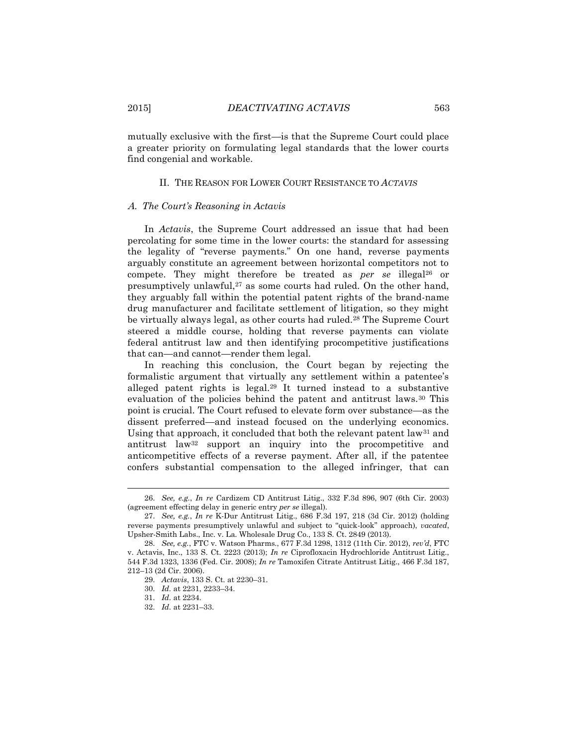mutually exclusive with the first—is that the Supreme Court could place a greater priority on formulating legal standards that the lower courts find congenial and workable.

### II. THE REASON FOR LOWER COURT RESISTANCE TO *ACTAVIS*

#### A. *The Court's Reasoning in Actavis*

In *Actavis*, the Supreme Court addressed an issue that had been percolating for some time in the lower courts: the standard for assessing the legality of "reverse payments." On one hand, reverse payments arguably constitute an agreement between horizontal competitors not to compete. They might therefore be treated as *per se* illegal<sup>26</sup> or presumptively unlawful,<sup>27</sup> as some courts had ruled. On the other hand, they arguably fall within the potential patent rights of the brand-name drug manufacturer and facilitate settlement of litigation, so they might be virtually always legal, as other courts had ruled.<sup>28</sup> The Supreme Court steered a middle course, holding that reverse payments can violate federal antitrust law and then identifying procompetitive justifications that can—and cannot—render them legal.

In reaching this conclusion, the Court began by rejecting the formalistic argument that virtually any settlement within a patentee's alleged patent rights is legal.<sup>29</sup> It turned instead to a substantive evaluation of the policies behind the patent and antitrust laws.<sup>30</sup> This point is crucial. The Court refused to elevate form over substance—as the dissent preferred—and instead focused on the underlying economics. Using that approach, it concluded that both the relevant patent  $law<sup>31</sup>$  and antitrust law<sup>32</sup> support an inquiry into the procompetitive and anticompetitive effects of a reverse payment. After all, if the patentee confers substantial compensation to the alleged infringer, that can

<sup>26.</sup> *See, e.g.*, *In re* Cardizem CD Antitrust Litig., 332 F.3d 896, 907 (6th Cir. 2003) (agreement effecting delay in generic entry *per se* illegal).

<sup>27.</sup> *See, e.g.*, *In re* K-Dur Antitrust Litig., 686 F.3d 197, 218 (3d Cir. 2012) (holding reverse payments presumptively unlawful and subject to "quick-look" approach), *vacated*, Upsher-Smith Labs., Inc. v. La. Wholesale Drug Co., 133 S. Ct. 2849 (2013).

<sup>28.</sup> *See, e.g.*, FTC v. Watson Pharms., 677 F.3d 1298, 1312 (11th Cir. 2012), *rev'd*, FTC v. Actavis, Inc., 133 S. Ct. 2223 (2013); *In re* Ciprofloxacin Hydrochloride Antitrust Litig., 544 F.3d 1323, 1336 (Fed. Cir. 2008); *In re* Tamoxifen Citrate Antitrust Litig., 466 F.3d 187, 212–13 (2d Cir. 2006).

<sup>29.</sup> *Actavis*, 133 S. Ct. at 2230–31.

<sup>30.</sup> *Id.* at 2231, 2233–34.

<sup>31.</sup> *Id.* at 2234.

<sup>32.</sup> *Id.* at 2231–33.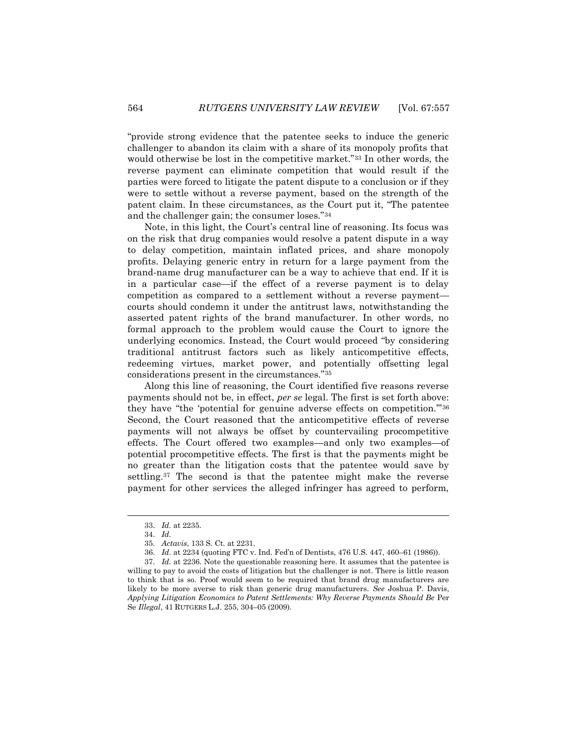"provide strong evidence that the patentee seeks to induce the generic challenger to abandon its claim with a share of its monopoly profits that would otherwise be lost in the competitive market."<sup>33</sup> In other words, the reverse payment can eliminate competition that would result if the parties were forced to litigate the patent dispute to a conclusion or if they were to settle without a reverse payment, based on the strength of the patent claim. In these circumstances, as the Court put it, "The patentee and the challenger gain; the consumer loses."<sup>34</sup>

Note, in this light, the Court's central line of reasoning. Its focus was on the risk that drug companies would resolve a patent dispute in a way to delay competition, maintain inflated prices, and share monopoly profits. Delaying generic entry in return for a large payment from the brand-name drug manufacturer can be a way to achieve that end. If it is in a particular case—if the effect of a reverse payment is to delay competition as compared to a settlement without a reverse payment courts should condemn it under the antitrust laws, notwithstanding the asserted patent rights of the brand manufacturer. In other words, no formal approach to the problem would cause the Court to ignore the underlying economics. Instead, the Court would proceed "by considering traditional antitrust factors such as likely anticompetitive effects, redeeming virtues, market power, and potentially offsetting legal considerations present in the circumstances."<sup>35</sup>

Along this line of reasoning, the Court identified five reasons reverse payments should not be, in effect, *per se* legal. The first is set forth above: they have "the 'potential for genuine adverse effects on competition.'"<sup>36</sup> Second, the Court reasoned that the anticompetitive effects of reverse payments will not always be offset by countervailing procompetitive effects. The Court offered two examples—and only two examples—of potential procompetitive effects. The first is that the payments might be no greater than the litigation costs that the patentee would save by settling.<sup>37</sup> The second is that the patentee might make the reverse payment for other services the alleged infringer has agreed to perform,

<sup>33.</sup> *Id.* at 2235.

<sup>34.</sup> *Id.*

<sup>35.</sup> *Actavis*, 133 S. Ct. at 2231.

<sup>36.</sup> *Id.* at 2234 (quoting FTC v. Ind. Fed'n of Dentists, 476 U.S. 447, 460–61 (1986)).

<sup>37.</sup> *Id.* at 2236. Note the questionable reasoning here. It assumes that the patentee is willing to pay to avoid the costs of litigation but the challenger is not. There is little reason to think that is so. Proof would seem to be required that brand drug manufacturers are likely to be more averse to risk than generic drug manufacturers. *See* Joshua P. Davis, *Applying Litigation Economics to Patent Settlements: Why Reverse Payments Should Be* Per Se *Illegal*, 41 RUTGERS L.J. 255, 304–05 (2009).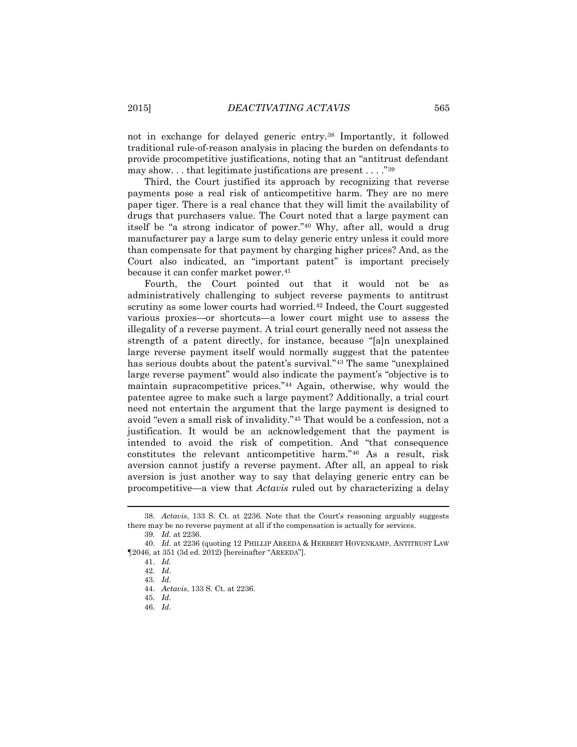not in exchange for delayed generic entry.<sup>38</sup> Importantly, it followed traditional rule-of-reason analysis in placing the burden on defendants to provide procompetitive justifications, noting that an "antitrust defendant may show. . . that legitimate justifications are present . . . ."<sup>39</sup>

Third, the Court justified its approach by recognizing that reverse payments pose a real risk of anticompetitive harm. They are no mere paper tiger. There is a real chance that they will limit the availability of drugs that purchasers value. The Court noted that a large payment can itself be "a strong indicator of power."<sup>40</sup> Why, after all, would a drug manufacturer pay a large sum to delay generic entry unless it could more than compensate for that payment by charging higher prices? And, as the Court also indicated, an "important patent" is important precisely because it can confer market power.<sup>41</sup>

Fourth, the Court pointed out that it would not be as administratively challenging to subject reverse payments to antitrust scrutiny as some lower courts had worried.<sup>42</sup> Indeed, the Court suggested various proxies—or shortcuts—a lower court might use to assess the illegality of a reverse payment. A trial court generally need not assess the strength of a patent directly, for instance, because "[a]n unexplained large reverse payment itself would normally suggest that the patentee has serious doubts about the patent's survival."<sup>43</sup> The same "unexplained large reverse payment" would also indicate the payment's "objective is to maintain supracompetitive prices."<sup>44</sup> Again, otherwise, why would the patentee agree to make such a large payment? Additionally, a trial court need not entertain the argument that the large payment is designed to avoid "even a small risk of invalidity."<sup>45</sup> That would be a confession, not a justification. It would be an acknowledgement that the payment is intended to avoid the risk of competition. And "that consequence constitutes the relevant anticompetitive harm."<sup>46</sup> As a result, risk aversion cannot justify a reverse payment. After all, an appeal to risk aversion is just another way to say that delaying generic entry can be procompetitive—a view that *Actavis* ruled out by characterizing a delay

<sup>38.</sup> *Actavis*, 133 S. Ct. at 2236. Note that the Court's reasoning arguably suggests there may be no reverse payment at all if the compensation is actually for services.

<sup>39.</sup> *Id.* at 2236.

<sup>40.</sup> *Id.* at 2236 (quoting 12 PHILLIP AREEDA & HERBERT HOVENKAMP, ANTITRUST LAW ¶2046, at 351 (3d ed. 2012) [hereinafter "AREEDA"].

<sup>41.</sup> *Id.*

<sup>42.</sup> *Id.*

<sup>43.</sup> *Id.*

<sup>44.</sup> *Actavis*, 133 S. Ct. at 2236.

<sup>45.</sup> *Id.*

<sup>46.</sup> *Id.*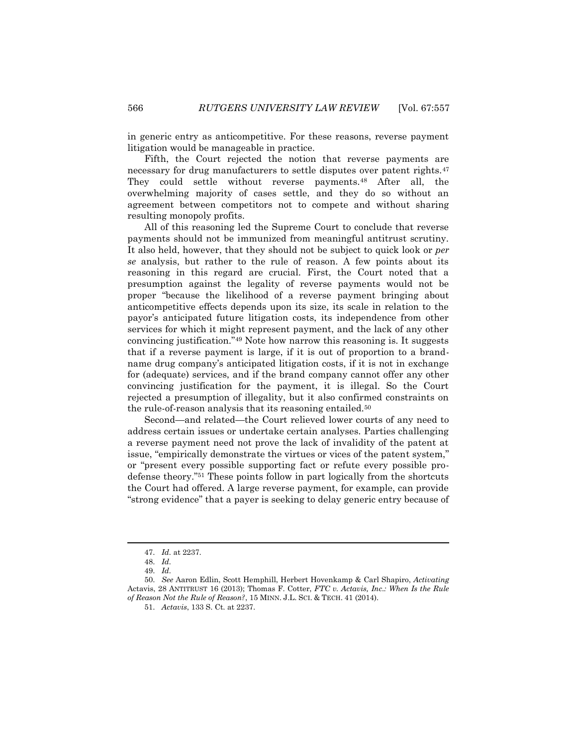in generic entry as anticompetitive. For these reasons, reverse payment litigation would be manageable in practice.

Fifth, the Court rejected the notion that reverse payments are necessary for drug manufacturers to settle disputes over patent rights.<sup>47</sup> They could settle without reverse payments.<sup>48</sup> After all, the overwhelming majority of cases settle, and they do so without an agreement between competitors not to compete and without sharing resulting monopoly profits.

All of this reasoning led the Supreme Court to conclude that reverse payments should not be immunized from meaningful antitrust scrutiny. It also held, however, that they should not be subject to quick look or *per se* analysis, but rather to the rule of reason. A few points about its reasoning in this regard are crucial. First, the Court noted that a presumption against the legality of reverse payments would not be proper "because the likelihood of a reverse payment bringing about anticompetitive effects depends upon its size, its scale in relation to the payor's anticipated future litigation costs, its independence from other services for which it might represent payment, and the lack of any other convincing justification."<sup>49</sup> Note how narrow this reasoning is. It suggests that if a reverse payment is large, if it is out of proportion to a brandname drug company's anticipated litigation costs, if it is not in exchange for (adequate) services, and if the brand company cannot offer any other convincing justification for the payment, it is illegal. So the Court rejected a presumption of illegality, but it also confirmed constraints on the rule-of-reason analysis that its reasoning entailed.<sup>50</sup>

Second—and related—the Court relieved lower courts of any need to address certain issues or undertake certain analyses. Parties challenging a reverse payment need not prove the lack of invalidity of the patent at issue, "empirically demonstrate the virtues or vices of the patent system," or "present every possible supporting fact or refute every possible prodefense theory."<sup>51</sup> These points follow in part logically from the shortcuts the Court had offered. A large reverse payment, for example, can provide "strong evidence" that a payer is seeking to delay generic entry because of

 $\overline{\phantom{a}}$ 

<sup>47.</sup> *Id.* at 2237.

<sup>48.</sup> *Id.*

<sup>49.</sup> *Id.*

<sup>50.</sup> *See* Aaron Edlin, Scott Hemphill, Herbert Hovenkamp & Carl Shapiro, *Activating*  Actavis, 28 ANTITRUST 16 (2013); Thomas F. Cotter, *FTC v. Actavis, Inc.: When Is the Rule of Reason Not the Rule of Reason?*, 15 MINN. J.L. SCI. & TECH. 41 (2014).

<sup>51.</sup> *Actavis*, 133 S. Ct. at 2237.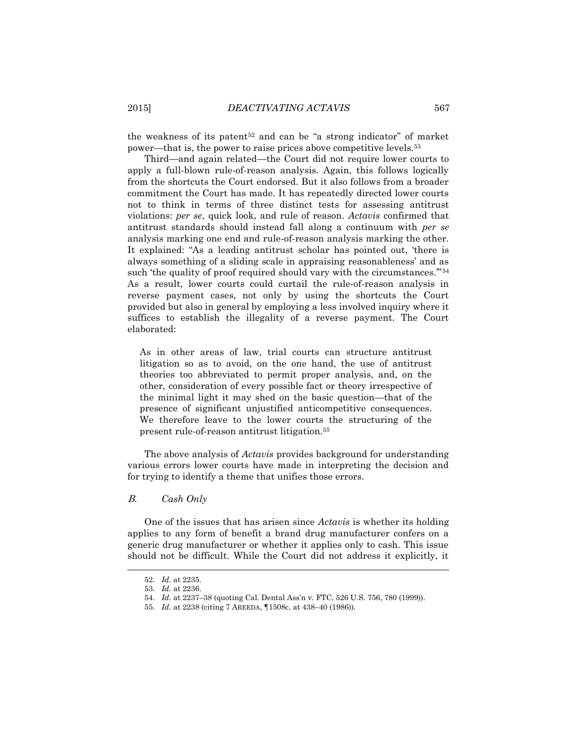the weakness of its patent<sup>52</sup> and can be "a strong indicator" of market power—that is, the power to raise prices above competitive levels.<sup>53</sup>

Third—and again related—the Court did not require lower courts to apply a full-blown rule-of-reason analysis. Again, this follows logically from the shortcuts the Court endorsed. But it also follows from a broader commitment the Court has made. It has repeatedly directed lower courts not to think in terms of three distinct tests for assessing antitrust violations: *per se*, quick look, and rule of reason. *Actavis* confirmed that antitrust standards should instead fall along a continuum with *per se* analysis marking one end and rule-of-reason analysis marking the other. It explained: "As a leading antitrust scholar has pointed out, 'there is always something of a sliding scale in appraising reasonableness' and as such 'the quality of proof required should vary with the circumstances."<sup>54</sup> As a result, lower courts could curtail the rule-of-reason analysis in reverse payment cases, not only by using the shortcuts the Court provided but also in general by employing a less involved inquiry where it suffices to establish the illegality of a reverse payment. The Court elaborated:

As in other areas of law, trial courts can structure antitrust litigation so as to avoid, on the one hand, the use of antitrust theories too abbreviated to permit proper analysis, and, on the other, consideration of every possible fact or theory irrespective of the minimal light it may shed on the basic question—that of the presence of significant unjustified anticompetitive consequences. We therefore leave to the lower courts the structuring of the present rule-of-reason antitrust litigation.<sup>55</sup>

The above analysis of *Actavis* provides background for understanding various errors lower courts have made in interpreting the decision and for trying to identify a theme that unifies those errors.

## B. *Cash Only*

One of the issues that has arisen since *Actavis* is whether its holding applies to any form of benefit a brand drug manufacturer confers on a generic drug manufacturer or whether it applies only to cash. This issue should not be difficult. While the Court did not address it explicitly, it

<sup>52.</sup> *Id.* at 2235.

<sup>53.</sup> *Id.* at 2236.

<sup>54.</sup> *Id.* at 2237–38 (quoting Cal. Dental Ass'n v. FTC, 526 U.S. 756, 780 (1999)).

<sup>55.</sup> *Id.* at 2238 (citing 7 AREEDA, ¶1508c, at 438–40 (1986)).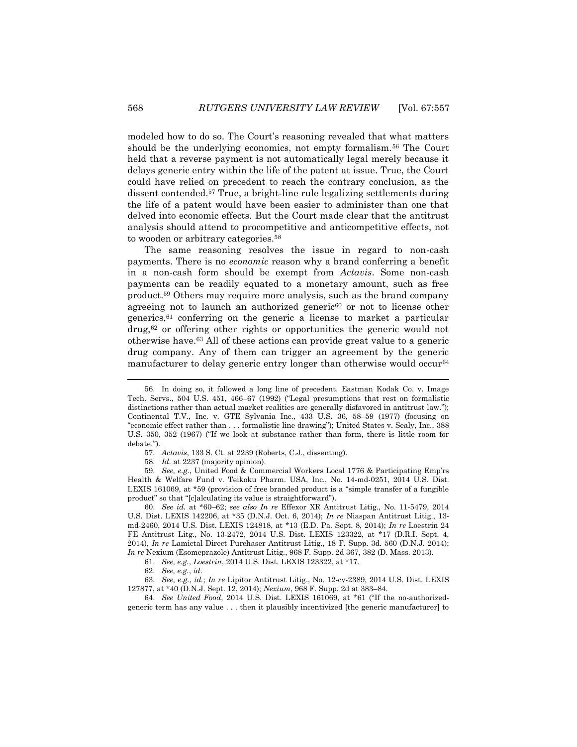modeled how to do so. The Court's reasoning revealed that what matters should be the underlying economics, not empty formalism.<sup>56</sup> The Court held that a reverse payment is not automatically legal merely because it delays generic entry within the life of the patent at issue. True, the Court could have relied on precedent to reach the contrary conclusion, as the dissent contended.<sup>57</sup> True, a bright-line rule legalizing settlements during the life of a patent would have been easier to administer than one that delved into economic effects. But the Court made clear that the antitrust analysis should attend to procompetitive and anticompetitive effects, not to wooden or arbitrary categories.<sup>58</sup>

The same reasoning resolves the issue in regard to non-cash payments. There is no *economic* reason why a brand conferring a benefit in a non-cash form should be exempt from *Actavis*. Some non-cash payments can be readily equated to a monetary amount, such as free product.<sup>59</sup> Others may require more analysis, such as the brand company agreeing not to launch an authorized generic<sup>60</sup> or not to license other generics,<sup>61</sup> conferring on the generic a license to market a particular drug,<sup>62</sup> or offering other rights or opportunities the generic would not otherwise have.<sup>63</sup> All of these actions can provide great value to a generic drug company. Any of them can trigger an agreement by the generic manufacturer to delay generic entry longer than otherwise would occur<sup>64</sup>

60. *See id.* at \*60–62; *see also In re* Effexor XR Antitrust Litig., No. 11-5479, 2014 U.S. Dist. LEXIS 142206, at \*35 (D.N.J. Oct. 6, 2014); *In re* Niaspan Antitrust Litig., 13 md-2460, 2014 U.S. Dist. LEXIS 124818, at \*13 (E.D. Pa. Sept. 8, 2014); *In re* Loestrin 24 FE Antitrust Litg., No. 13-2472, 2014 U.S. Dist. LEXIS 123322, at \*17 (D.R.I. Sept. 4, 2014), *In re* Lamictal Direct Purchaser Antitrust Litig., 18 F. Supp. 3d. 560 (D.N.J. 2014); *In re* Nexium (Esomeprazole) Antitrust Litig., 968 F. Supp. 2d 367, 382 (D. Mass. 2013).

61. *See, e.g.*, *Loestrin*, 2014 U.S. Dist. LEXIS 123322, at \*17.

63. *See, e.g.*, *id.*; *In re* Lipitor Antitrust Litig., No. 12-cv-2389, 2014 U.S. Dist. LEXIS 127877, at \*40 (D.N.J. Sept. 12, 2014); *Nexium*, 968 F. Supp. 2d at 383–84.

64. *See United Food*, 2014 U.S. Dist. LEXIS 161069, at \*61 ("If the no-authorizedgeneric term has any value . . . then it plausibly incentivized [the generic manufacturer] to

<sup>56.</sup> In doing so, it followed a long line of precedent. Eastman Kodak Co. v. Image Tech. Servs., 504 U.S. 451, 466–67 (1992) ("Legal presumptions that rest on formalistic distinctions rather than actual market realities are generally disfavored in antitrust law."); Continental T.V., Inc. v. GTE Sylvania Inc., 433 U.S. 36, 58–59 (1977) (focusing on "economic effect rather than . . . formalistic line drawing"); United States v. Sealy, Inc., 388 U.S. 350, 352 (1967) ("If we look at substance rather than form, there is little room for debate.").

<sup>57.</sup> *Actavis*, 133 S. Ct. at 2239 (Roberts, C.J., dissenting).

<sup>58.</sup> *Id.* at 2237 (majority opinion).

<sup>59.</sup> *See, e.g.*, United Food & Commercial Workers Local 1776 & Participating Emp'rs Health & Welfare Fund v. Teikoku Pharm. USA, Inc., No. 14-md-0251, 2014 U.S. Dist. LEXIS 161069, at \*59 (provision of free branded product is a "simple transfer of a fungible product" so that "[c]alculating its value is straightforward").

<sup>62.</sup> *See, e.g.*, *id.*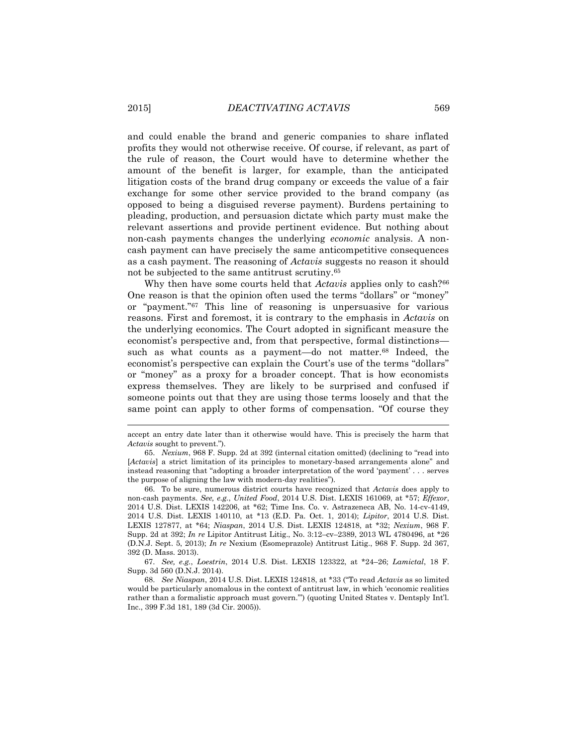and could enable the brand and generic companies to share inflated profits they would not otherwise receive. Of course, if relevant, as part of the rule of reason, the Court would have to determine whether the amount of the benefit is larger, for example, than the anticipated litigation costs of the brand drug company or exceeds the value of a fair exchange for some other service provided to the brand company (as opposed to being a disguised reverse payment). Burdens pertaining to pleading, production, and persuasion dictate which party must make the relevant assertions and provide pertinent evidence. But nothing about non-cash payments changes the underlying *economic* analysis. A noncash payment can have precisely the same anticompetitive consequences as a cash payment. The reasoning of *Actavis* suggests no reason it should not be subjected to the same antitrust scrutiny.<sup>65</sup>

Why then have some courts held that *Actavis* applies only to cash?<sup>66</sup> One reason is that the opinion often used the terms "dollars" or "money" or "payment."<sup>67</sup> This line of reasoning is unpersuasive for various reasons. First and foremost, it is contrary to the emphasis in *Actavis* on the underlying economics. The Court adopted in significant measure the economist's perspective and, from that perspective, formal distinctions such as what counts as a payment—do not matter.<sup>68</sup> Indeed, the economist's perspective can explain the Court's use of the terms "dollars" or "money" as a proxy for a broader concept. That is how economists express themselves. They are likely to be surprised and confused if someone points out that they are using those terms loosely and that the same point can apply to other forms of compensation. "Of course they

67. *See, e.g.*, *Loestrin*, 2014 U.S. Dist. LEXIS 123322, at \*24–26; *Lamictal*, 18 F. Supp. 3d 560 (D.N.J. 2014).

accept an entry date later than it otherwise would have. This is precisely the harm that *Actavis* sought to prevent.").

<sup>65.</sup> *Nexium*, 968 F. Supp. 2d at 392 (internal citation omitted) (declining to "read into [*Actavis*] a strict limitation of its principles to monetary-based arrangements alone" and instead reasoning that "adopting a broader interpretation of the word 'payment' . . . serves the purpose of aligning the law with modern-day realities").

<sup>66.</sup> To be sure, numerous district courts have recognized that *Actavis* does apply to non-cash payments. *See, e.g.*, *United Food*, 2014 U.S. Dist. LEXIS 161069, at \*57; *Effexor*, 2014 U.S. Dist. LEXIS 142206, at \*62; Time Ins. Co. v. Astrazeneca AB, No. 14-cv-4149, 2014 U.S. Dist. LEXIS 140110, at \*13 (E.D. Pa. Oct. 1, 2014); *Lipitor*, 2014 U.S. Dist. LEXIS 127877, at \*64; *Niaspan*, 2014 U.S. Dist. LEXIS 124818, at \*32; *Nexium*, 968 F. Supp. 2d at 392; *In re* Lipitor Antitrust Litig., No. 3:12–cv–2389, 2013 WL 4780496, at \*26 (D.N.J. Sept. 5, 2013); *In re* Nexium (Esomeprazole) Antitrust Litig., 968 F. Supp. 2d 367, 392 (D. Mass. 2013).

<sup>68.</sup> *See Niaspan*, 2014 U.S. Dist. LEXIS 124818, at \*33 ("To read *Actavis* as so limited would be particularly anomalous in the context of antitrust law, in which 'economic realities rather than a formalistic approach must govern.'") (quoting United States v. Dentsply Int'l. Inc., 399 F.3d 181, 189 (3d Cir. 2005)).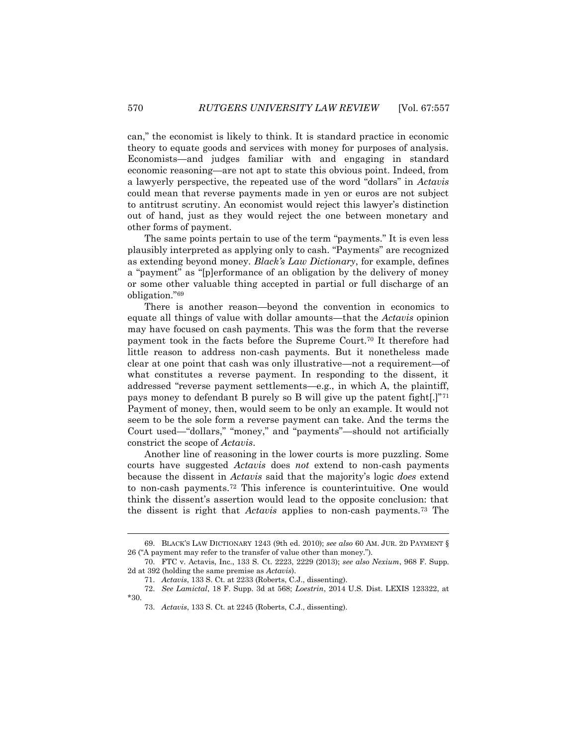can," the economist is likely to think. It is standard practice in economic theory to equate goods and services with money for purposes of analysis. Economists—and judges familiar with and engaging in standard economic reasoning—are not apt to state this obvious point. Indeed, from a lawyerly perspective, the repeated use of the word "dollars" in *Actavis* could mean that reverse payments made in yen or euros are not subject to antitrust scrutiny. An economist would reject this lawyer's distinction out of hand, just as they would reject the one between monetary and other forms of payment.

The same points pertain to use of the term "payments." It is even less plausibly interpreted as applying only to cash. "Payments" are recognized as extending beyond money. *Black's Law Dictionary*, for example, defines a "payment" as "[p]erformance of an obligation by the delivery of money or some other valuable thing accepted in partial or full discharge of an obligation."<sup>69</sup>

There is another reason—beyond the convention in economics to equate all things of value with dollar amounts—that the *Actavis* opinion may have focused on cash payments. This was the form that the reverse payment took in the facts before the Supreme Court.<sup>70</sup> It therefore had little reason to address non-cash payments. But it nonetheless made clear at one point that cash was only illustrative—not a requirement—of what constitutes a reverse payment. In responding to the dissent, it addressed "reverse payment settlements—e.g., in which A, the plaintiff, pays money to defendant B purely so B will give up the patent fight[.]"<sup>71</sup> Payment of money, then, would seem to be only an example. It would not seem to be the sole form a reverse payment can take. And the terms the Court used—"dollars," "money," and "payments"—should not artificially constrict the scope of *Actavis*.

Another line of reasoning in the lower courts is more puzzling. Some courts have suggested *Actavis* does *not* extend to non-cash payments because the dissent in *Actavis* said that the majority's logic *does* extend to non-cash payments.<sup>72</sup> This inference is counterintuitive. One would think the dissent's assertion would lead to the opposite conclusion: that the dissent is right that *Actavis* applies to non-cash payments.<sup>73</sup> The

<sup>69.</sup> BLACK'S LAW DICTIONARY 1243 (9th ed. 2010); *see also* 60 AM. JUR. 2D PAYMENT § 26 ("A payment may refer to the transfer of value other than money.").

<sup>70.</sup> FTC v. Actavis, Inc., 133 S. Ct. 2223, 2229 (2013); *see also Nexium*, 968 F. Supp. 2d at 392 (holding the same premise as *Actavis*).

<sup>71.</sup> *Actavis*, 133 S. Ct. at 2233 (Roberts, C.J., dissenting).

<sup>72.</sup> *See Lamictal*, 18 F. Supp. 3d at 568; *Loestrin*, 2014 U.S. Dist. LEXIS 123322, at \*30.

<sup>73.</sup> *Actavis*, 133 S. Ct. at 2245 (Roberts, C.J., dissenting).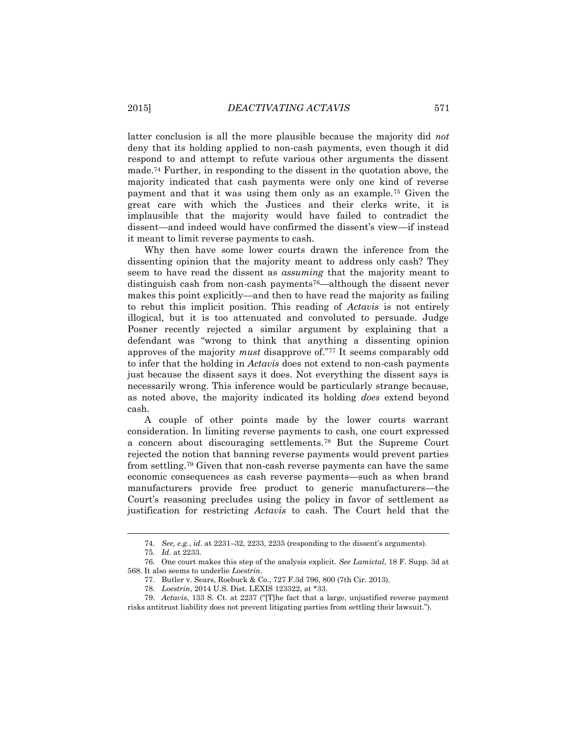latter conclusion is all the more plausible because the majority did *not* deny that its holding applied to non-cash payments, even though it did respond to and attempt to refute various other arguments the dissent made.<sup>74</sup> Further, in responding to the dissent in the quotation above, the majority indicated that cash payments were only one kind of reverse payment and that it was using them only as an example.<sup>75</sup> Given the great care with which the Justices and their clerks write, it is implausible that the majority would have failed to contradict the dissent—and indeed would have confirmed the dissent's view—if instead it meant to limit reverse payments to cash.

Why then have some lower courts drawn the inference from the dissenting opinion that the majority meant to address only cash? They seem to have read the dissent as *assuming* that the majority meant to distinguish cash from non-cash payments<sup>76</sup>—although the dissent never makes this point explicitly—and then to have read the majority as failing to rebut this implicit position. This reading of *Actavis* is not entirely illogical, but it is too attenuated and convoluted to persuade. Judge Posner recently rejected a similar argument by explaining that a defendant was "wrong to think that anything a dissenting opinion approves of the majority *must* disapprove of."<sup>77</sup> It seems comparably odd to infer that the holding in *Actavis* does not extend to non-cash payments just because the dissent says it does. Not everything the dissent says is necessarily wrong. This inference would be particularly strange because, as noted above, the majority indicated its holding *does* extend beyond cash.

A couple of other points made by the lower courts warrant consideration. In limiting reverse payments to cash, one court expressed a concern about discouraging settlements.<sup>78</sup> But the Supreme Court rejected the notion that banning reverse payments would prevent parties from settling.<sup>79</sup> Given that non-cash reverse payments can have the same economic consequences as cash reverse payments—such as when brand manufacturers provide free product to generic manufacturers—the Court's reasoning precludes using the policy in favor of settlement as justification for restricting *Actavis* to cash. The Court held that the

<sup>74.</sup> *See, e.g.*, *id.* at 2231–32, 2233, 2235 (responding to the dissent's arguments).

<sup>75</sup>*. Id.* at 2233.

<sup>76.</sup> One court makes this step of the analysis explicit. *See Lamictal*, 18 F. Supp. 3d at 568. It also seems to underlie *Loestrin*.

<sup>77.</sup> Butler v. Sears, Roebuck & Co., 727 F.3d 796, 800 (7th Cir. 2013).

<sup>78.</sup> *Loestrin*, 2014 U.S. Dist. LEXIS 123322, at \*33.

<sup>79.</sup> *Actavis*, 133 S. Ct. at 2237 ("[T]he fact that a large, unjustified reverse payment risks antitrust liability does not prevent litigating parties from settling their lawsuit.").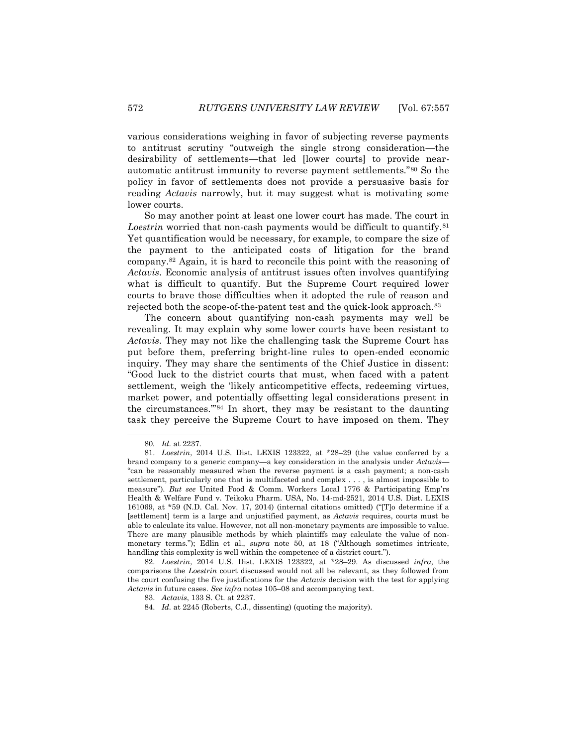various considerations weighing in favor of subjecting reverse payments to antitrust scrutiny "outweigh the single strong consideration—the desirability of settlements—that led [lower courts] to provide nearautomatic antitrust immunity to reverse payment settlements."<sup>80</sup> So the policy in favor of settlements does not provide a persuasive basis for reading *Actavis* narrowly, but it may suggest what is motivating some lower courts.

So may another point at least one lower court has made. The court in Loestrin worried that non-cash payments would be difficult to quantify.<sup>81</sup> Yet quantification would be necessary, for example, to compare the size of the payment to the anticipated costs of litigation for the brand company.<sup>82</sup> Again, it is hard to reconcile this point with the reasoning of *Actavis*. Economic analysis of antitrust issues often involves quantifying what is difficult to quantify. But the Supreme Court required lower courts to brave those difficulties when it adopted the rule of reason and rejected both the scope-of-the-patent test and the quick-look approach.<sup>83</sup>

The concern about quantifying non-cash payments may well be revealing. It may explain why some lower courts have been resistant to *Actavis*. They may not like the challenging task the Supreme Court has put before them, preferring bright-line rules to open-ended economic inquiry. They may share the sentiments of the Chief Justice in dissent: "Good luck to the district courts that must, when faced with a patent settlement, weigh the 'likely anticompetitive effects, redeeming virtues, market power, and potentially offsetting legal considerations present in the circumstances.'"<sup>84</sup> In short, they may be resistant to the daunting task they perceive the Supreme Court to have imposed on them. They

l

82. *Loestrin*, 2014 U.S. Dist. LEXIS 123322, at \*28–29. As discussed *infra*, the comparisons the *Loestrin* court discussed would not all be relevant, as they followed from the court confusing the five justifications for the *Actavis* decision with the test for applying *Actavis* in future cases. *See infra* notes 105–08 and accompanying text.

<sup>80</sup>*. Id.* at 2237.

<sup>81.</sup> *Loestrin*, 2014 U.S. Dist. LEXIS 123322, at \*28–29 (the value conferred by a brand company to a generic company—a key consideration in the analysis under *Actavis—* "can be reasonably measured when the reverse payment is a cash payment; a non-cash settlement, particularly one that is multifaceted and complex . . . , is almost impossible to measure"). *But see* United Food & Comm. Workers Local 1776 & Participating Emp'rs Health & Welfare Fund v. Teikoku Pharm. USA, No. 14-md-2521, 2014 U.S. Dist. LEXIS 161069, at \*59 (N.D. Cal. Nov. 17, 2014) (internal citations omitted) ("[T]o determine if a [settlement] term is a large and unjustified payment, as *Actavis* requires, courts must be able to calculate its value. However, not all non-monetary payments are impossible to value. There are many plausible methods by which plaintiffs may calculate the value of nonmonetary terms."); Edlin et al., *supra* note 50, at 18 ("Although sometimes intricate, handling this complexity is well within the competence of a district court.").

<sup>83.</sup> *Actavis*, 133 S. Ct. at 2237.

<sup>84.</sup> *Id.* at 2245 (Roberts, C.J., dissenting) (quoting the majority).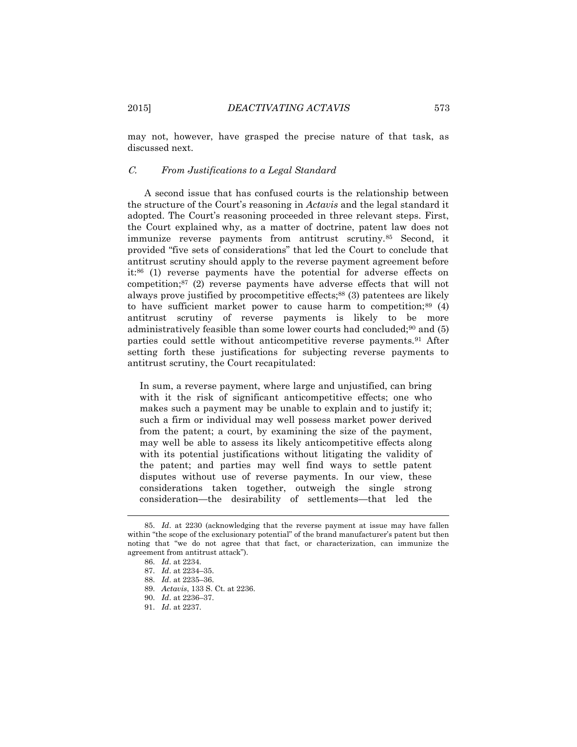may not, however, have grasped the precise nature of that task, as discussed next.

#### C. *From Justifications to a Legal Standard*

A second issue that has confused courts is the relationship between the structure of the Court's reasoning in *Actavis* and the legal standard it adopted. The Court's reasoning proceeded in three relevant steps. First, the Court explained why, as a matter of doctrine, patent law does not immunize reverse payments from antitrust scrutiny.<sup>85</sup> Second, it provided "five sets of considerations" that led the Court to conclude that antitrust scrutiny should apply to the reverse payment agreement before it:<sup>86</sup> (1) reverse payments have the potential for adverse effects on competition; $87$  (2) reverse payments have adverse effects that will not always prove justified by procompetitive effects;<sup>88</sup> (3) patentees are likely to have sufficient market power to cause harm to competition; $89(4)$ antitrust scrutiny of reverse payments is likely to be more administratively feasible than some lower courts had concluded;<sup>90</sup> and (5) parties could settle without anticompetitive reverse payments.<sup>91</sup> After setting forth these justifications for subjecting reverse payments to antitrust scrutiny, the Court recapitulated:

In sum, a reverse payment, where large and unjustified, can bring with it the risk of significant anticompetitive effects; one who makes such a payment may be unable to explain and to justify it; such a firm or individual may well possess market power derived from the patent; a court, by examining the size of the payment, may well be able to assess its likely anticompetitive effects along with its potential justifications without litigating the validity of the patent; and parties may well find ways to settle patent disputes without use of reverse payments. In our view, these considerations taken together, outweigh the single strong consideration—the desirability of settlements—that led the

<sup>85.</sup> *Id*. at 2230 (acknowledging that the reverse payment at issue may have fallen within "the scope of the exclusionary potential" of the brand manufacturer's patent but then noting that "we do not agree that that fact, or characterization, can immunize the agreement from antitrust attack").

<sup>86.</sup> *Id*. at 2234.

<sup>87.</sup> *Id*. at 2234–35.

<sup>88.</sup> *Id*. at 2235–36.

<sup>89.</sup> *Actavis*, 133 S. Ct. at 2236.

<sup>90.</sup> *Id*. at 2236–37.

<sup>91.</sup> *Id*. at 2237.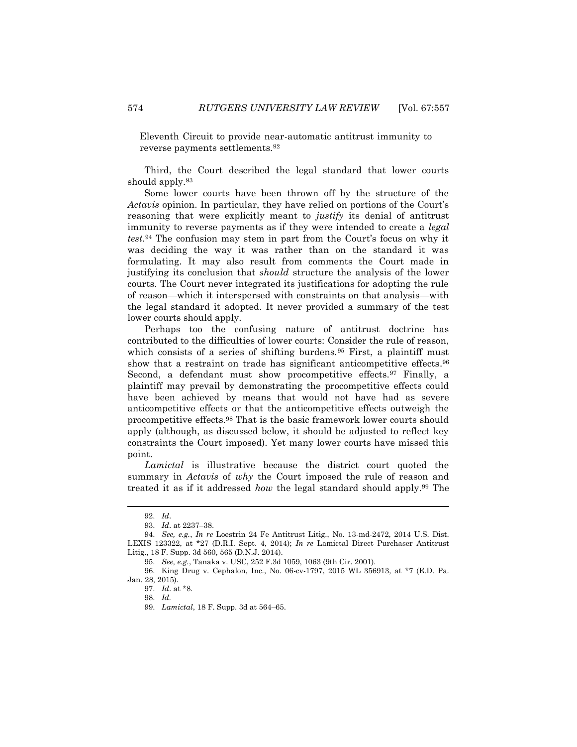Eleventh Circuit to provide near-automatic antitrust immunity to reverse payments settlements.<sup>92</sup>

Third, the Court described the legal standard that lower courts should apply.<sup>93</sup>

Some lower courts have been thrown off by the structure of the *Actavis* opinion. In particular, they have relied on portions of the Court's reasoning that were explicitly meant to *justify* its denial of antitrust immunity to reverse payments as if they were intended to create a *legal test*. <sup>94</sup> The confusion may stem in part from the Court's focus on why it was deciding the way it was rather than on the standard it was formulating. It may also result from comments the Court made in justifying its conclusion that *should* structure the analysis of the lower courts. The Court never integrated its justifications for adopting the rule of reason—which it interspersed with constraints on that analysis—with the legal standard it adopted. It never provided a summary of the test lower courts should apply.

Perhaps too the confusing nature of antitrust doctrine has contributed to the difficulties of lower courts: Consider the rule of reason, which consists of a series of shifting burdens.<sup>95</sup> First, a plaintiff must show that a restraint on trade has significant anticompetitive effects.<sup>96</sup> Second, a defendant must show procompetitive effects.<sup>97</sup> Finally, a plaintiff may prevail by demonstrating the procompetitive effects could have been achieved by means that would not have had as severe anticompetitive effects or that the anticompetitive effects outweigh the procompetitive effects.<sup>98</sup> That is the basic framework lower courts should apply (although, as discussed below, it should be adjusted to reflect key constraints the Court imposed). Yet many lower courts have missed this point.

*Lamictal* is illustrative because the district court quoted the summary in *Actavis* of *why* the Court imposed the rule of reason and treated it as if it addressed *how* the legal standard should apply.<sup>99</sup> The

<sup>92.</sup> *Id*.

<sup>93.</sup> *Id*. at 2237–38.

<sup>94.</sup> *See, e.g.*, *In re* Loestrin 24 Fe Antitrust Litig., No. 13-md-2472, 2014 U.S. Dist. LEXIS 123322, at \*27 (D.R.I. Sept. 4, 2014); *In re* Lamictal Direct Purchaser Antitrust Litig., 18 F. Supp. 3d 560, 565 (D.N.J. 2014).

<sup>95.</sup> *See, e.g.*, Tanaka v. USC, 252 F.3d 1059, 1063 (9th Cir. 2001).

<sup>96.</sup> King Drug v. Cephalon, Inc., No. 06-cv-1797, 2015 WL 356913, at \*7 (E.D. Pa. Jan. 28, 2015).

<sup>97.</sup> *Id*. at \*8.

<sup>98.</sup> *Id.*

<sup>99.</sup> *Lamictal*, 18 F. Supp. 3d at 564–65.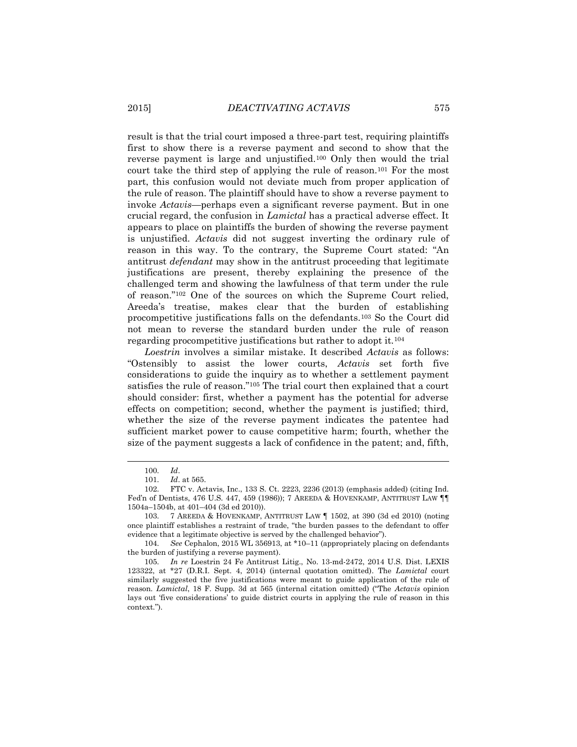result is that the trial court imposed a three-part test, requiring plaintiffs first to show there is a reverse payment and second to show that the reverse payment is large and unjustified.<sup>100</sup> Only then would the trial court take the third step of applying the rule of reason.<sup>101</sup> For the most part, this confusion would not deviate much from proper application of the rule of reason. The plaintiff should have to show a reverse payment to invoke *Actavis*—perhaps even a significant reverse payment. But in one crucial regard, the confusion in *Lamictal* has a practical adverse effect. It appears to place on plaintiffs the burden of showing the reverse payment is unjustified. *Actavis* did not suggest inverting the ordinary rule of reason in this way. To the contrary, the Supreme Court stated: "An antitrust *defendant* may show in the antitrust proceeding that legitimate justifications are present, thereby explaining the presence of the challenged term and showing the lawfulness of that term under the rule of reason."<sup>102</sup> One of the sources on which the Supreme Court relied, Areeda's treatise, makes clear that the burden of establishing procompetitive justifications falls on the defendants.<sup>103</sup> So the Court did not mean to reverse the standard burden under the rule of reason regarding procompetitive justifications but rather to adopt it.<sup>104</sup>

*Loestrin* involves a similar mistake. It described *Actavis* as follows: "Ostensibly to assist the lower courts, *Actavis* set forth five considerations to guide the inquiry as to whether a settlement payment satisfies the rule of reason."<sup>105</sup> The trial court then explained that a court should consider: first, whether a payment has the potential for adverse effects on competition; second, whether the payment is justified; third, whether the size of the reverse payment indicates the patentee had sufficient market power to cause competitive harm; fourth, whether the size of the payment suggests a lack of confidence in the patent; and, fifth,

<sup>100.</sup> *Id*.

<sup>101.</sup> *Id*. at 565.

<sup>102.</sup> FTC v. Actavis, Inc., 133 S. Ct. 2223, 2236 (2013) (emphasis added) (citing Ind. Fed'n of Dentists, 476 U.S. 447, 459 (1986)); 7 AREEDA & HOVENKAMP, ANTITRUST LAW ¶¶ 1504a–1504b, at 401–404 (3d ed 2010)).

<sup>103.</sup> 7 AREEDA & HOVENKAMP, ANTITRUST LAW ¶ 1502, at 390 (3d ed 2010) (noting once plaintiff establishes a restraint of trade, "the burden passes to the defendant to offer evidence that a legitimate objective is served by the challenged behavior").

<sup>104.</sup> *See* Cephalon, 2015 WL 356913, at \*10–11 (appropriately placing on defendants the burden of justifying a reverse payment).

<sup>105.</sup> *In re* Loestrin 24 Fe Antitrust Litig., No. 13-md-2472, 2014 U.S. Dist. LEXIS 123322, at \*27 (D.R.I. Sept. 4, 2014) (internal quotation omitted). The *Lamictal* court similarly suggested the five justifications were meant to guide application of the rule of reason. *Lamictal*, 18 F. Supp. 3d at 565 (internal citation omitted) ("The *Actavis* opinion lays out 'five considerations' to guide district courts in applying the rule of reason in this context.").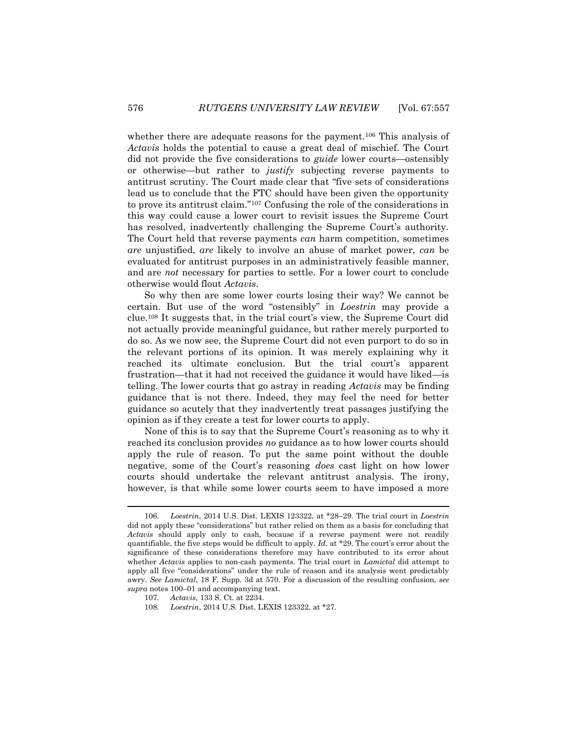whether there are adequate reasons for the payment.<sup>106</sup> This analysis of *Actavis* holds the potential to cause a great deal of mischief. The Court did not provide the five considerations to *guide* lower courts—ostensibly or otherwise—but rather to *justify* subjecting reverse payments to antitrust scrutiny. The Court made clear that "five sets of considerations lead us to conclude that the FTC should have been given the opportunity to prove its antitrust claim."<sup>107</sup> Confusing the role of the considerations in this way could cause a lower court to revisit issues the Supreme Court has resolved, inadvertently challenging the Supreme Court's authority. The Court held that reverse payments *can* harm competition, sometimes *are* unjustified, *are* likely to involve an abuse of market power, *can* be evaluated for antitrust purposes in an administratively feasible manner, and are *not* necessary for parties to settle. For a lower court to conclude otherwise would flout *Actavis*.

So why then are some lower courts losing their way? We cannot be certain. But use of the word "ostensibly" in *Loestrin* may provide a clue.<sup>108</sup> It suggests that, in the trial court's view, the Supreme Court did not actually provide meaningful guidance, but rather merely purported to do so. As we now see, the Supreme Court did not even purport to do so in the relevant portions of its opinion. It was merely explaining why it reached its ultimate conclusion. But the trial court's apparent frustration—that it had not received the guidance it would have liked—is telling. The lower courts that go astray in reading *Actavis* may be finding guidance that is not there. Indeed, they may feel the need for better guidance so acutely that they inadvertently treat passages justifying the opinion as if they create a test for lower courts to apply.

None of this is to say that the Supreme Court's reasoning as to why it reached its conclusion provides *no* guidance as to how lower courts should apply the rule of reason. To put the same point without the double negative, some of the Court's reasoning *does* cast light on how lower courts should undertake the relevant antitrust analysis. The irony, however, is that while some lower courts seem to have imposed a more

<sup>106.</sup> *Loestrin*, 2014 U.S. Dist. LEXIS 123322, at \*28–29. The trial court in *Loestrin* did not apply these "considerations" but rather relied on them as a basis for concluding that *Actavis* should apply only to cash, because if a reverse payment were not readily quantifiable, the five steps would be difficult to apply. *Id.* at \*29. The court's error about the significance of these considerations therefore may have contributed to its error about whether *Actavis* applies to non-cash payments. The trial court in *Lamictal* did attempt to apply all five "considerations" under the rule of reason and its analysis went predictably awry. *See Lamictal*, 18 F. Supp. 3d at 570. For a discussion of the resulting confusion, *see supra* notes 100–01 and accompanying text.

<sup>107.</sup> *Actavis*, 133 S. Ct. at 2234.

<sup>108.</sup> *Loestrin*, 2014 U.S. Dist. LEXIS 123322, at \*27.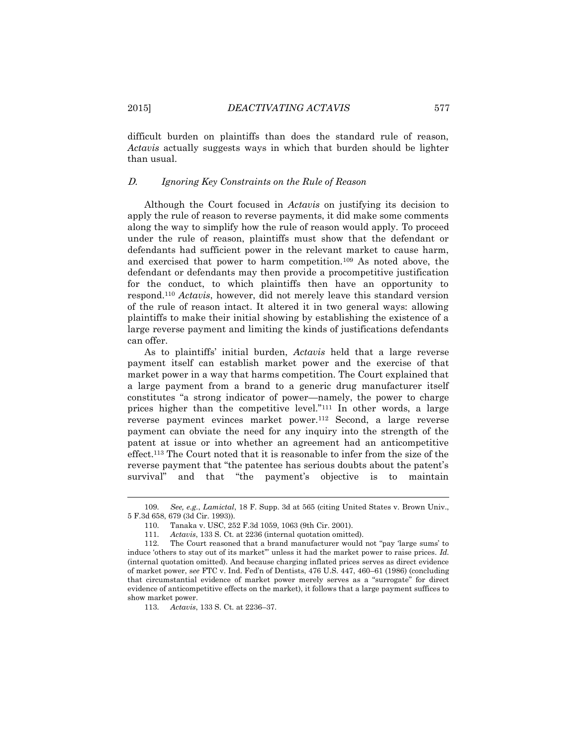difficult burden on plaintiffs than does the standard rule of reason, *Actavis* actually suggests ways in which that burden should be lighter than usual.

### D. *Ignoring Key Constraints on the Rule of Reason*

Although the Court focused in *Actavis* on justifying its decision to apply the rule of reason to reverse payments, it did make some comments along the way to simplify how the rule of reason would apply. To proceed under the rule of reason, plaintiffs must show that the defendant or defendants had sufficient power in the relevant market to cause harm, and exercised that power to harm competition.<sup>109</sup> As noted above, the defendant or defendants may then provide a procompetitive justification for the conduct, to which plaintiffs then have an opportunity to respond.<sup>110</sup> *Actavis*, however, did not merely leave this standard version of the rule of reason intact. It altered it in two general ways: allowing plaintiffs to make their initial showing by establishing the existence of a large reverse payment and limiting the kinds of justifications defendants can offer.

As to plaintiffs' initial burden, *Actavis* held that a large reverse payment itself can establish market power and the exercise of that market power in a way that harms competition. The Court explained that a large payment from a brand to a generic drug manufacturer itself constitutes "a strong indicator of power—namely, the power to charge prices higher than the competitive level."<sup>111</sup> In other words, a large reverse payment evinces market power.<sup>112</sup> Second, a large reverse payment can obviate the need for any inquiry into the strength of the patent at issue or into whether an agreement had an anticompetitive effect.<sup>113</sup> The Court noted that it is reasonable to infer from the size of the reverse payment that "the patentee has serious doubts about the patent's survival" and that "the payment's objective is to maintain

113. *Actavis*, 133 S. Ct. at 2236–37.

 $\overline{a}$ 

<sup>109.</sup> *See, e.g.*, *Lamictal*, 18 F. Supp. 3d at 565 (citing United States v. Brown Univ., 5 F.3d 658, 679 (3d Cir. 1993)).

<sup>110.</sup> Tanaka v. USC, 252 F.3d 1059, 1063 (9th Cir. 2001).

<sup>111.</sup> *Actavis*, 133 S. Ct. at 2236 (internal quotation omitted).

<sup>112.</sup> The Court reasoned that a brand manufacturer would not "pay 'large sums' to induce 'others to stay out of its market'" unless it had the market power to raise prices. *Id.* (internal quotation omitted). And because charging inflated prices serves as direct evidence of market power, s*ee* FTC v. Ind. Fed'n of Dentists, 476 U.S. 447, 460–61 (1986) (concluding that circumstantial evidence of market power merely serves as a "surrogate" for direct evidence of anticompetitive effects on the market), it follows that a large payment suffices to show market power.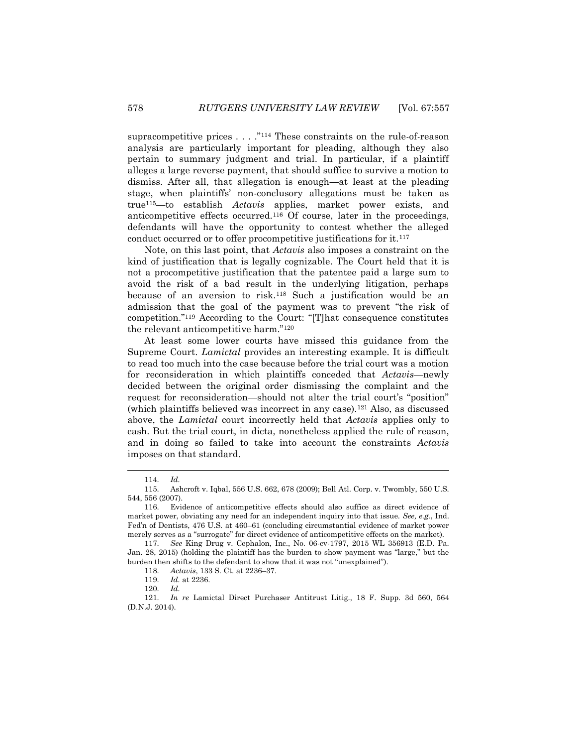supracompetitive prices  $\dots$ ."<sup>114</sup> These constraints on the rule-of-reason analysis are particularly important for pleading, although they also pertain to summary judgment and trial. In particular, if a plaintiff alleges a large reverse payment, that should suffice to survive a motion to dismiss. After all, that allegation is enough—at least at the pleading stage, when plaintiffs' non-conclusory allegations must be taken as true115—to establish *Actavis* applies, market power exists, and anticompetitive effects occurred.<sup>116</sup> Of course, later in the proceedings, defendants will have the opportunity to contest whether the alleged conduct occurred or to offer procompetitive justifications for it.<sup>117</sup>

Note, on this last point, that *Actavis* also imposes a constraint on the kind of justification that is legally cognizable. The Court held that it is not a procompetitive justification that the patentee paid a large sum to avoid the risk of a bad result in the underlying litigation, perhaps because of an aversion to risk.<sup>118</sup> Such a justification would be an admission that the goal of the payment was to prevent "the risk of competition."<sup>119</sup> According to the Court: "[T]hat consequence constitutes the relevant anticompetitive harm."<sup>120</sup>

At least some lower courts have missed this guidance from the Supreme Court. *Lamictal* provides an interesting example. It is difficult to read too much into the case because before the trial court was a motion for reconsideration in which plaintiffs conceded that *Actavis*—newly decided between the original order dismissing the complaint and the request for reconsideration—should not alter the trial court's "position" (which plaintiffs believed was incorrect in any case).<sup>121</sup> Also, as discussed above, the *Lamictal* court incorrectly held that *Actavis* applies only to cash. But the trial court, in dicta, nonetheless applied the rule of reason, and in doing so failed to take into account the constraints *Actavis* imposes on that standard.

 $\overline{\phantom{a}}$ 

<sup>114.</sup> *Id.*

<sup>115.</sup> Ashcroft v. Iqbal, 556 U.S. 662, 678 (2009); Bell Atl. Corp. v. Twombly, 550 U.S. 544, 556 (2007).

<sup>116.</sup> Evidence of anticompetitive effects should also suffice as direct evidence of market power, obviating any need for an independent inquiry into that issue. *See, e.g.*, Ind. Fed'n of Dentists, 476 U.S. at 460–61 (concluding circumstantial evidence of market power merely serves as a "surrogate" for direct evidence of anticompetitive effects on the market).

<sup>117.</sup> *See* King Drug v. Cephalon, Inc., No. 06-cv-1797, 2015 WL 356913 (E.D. Pa. Jan. 28, 2015) (holding the plaintiff has the burden to show payment was "large," but the burden then shifts to the defendant to show that it was not "unexplained").

<sup>118.</sup> *Actavis*, 133 S. Ct. at 2236–37.

<sup>119.</sup> *Id.* at 2236.

<sup>120.</sup> *Id.*

<sup>121.</sup> *In re* Lamictal Direct Purchaser Antitrust Litig., 18 F. Supp. 3d 560, 564 (D.N.J. 2014).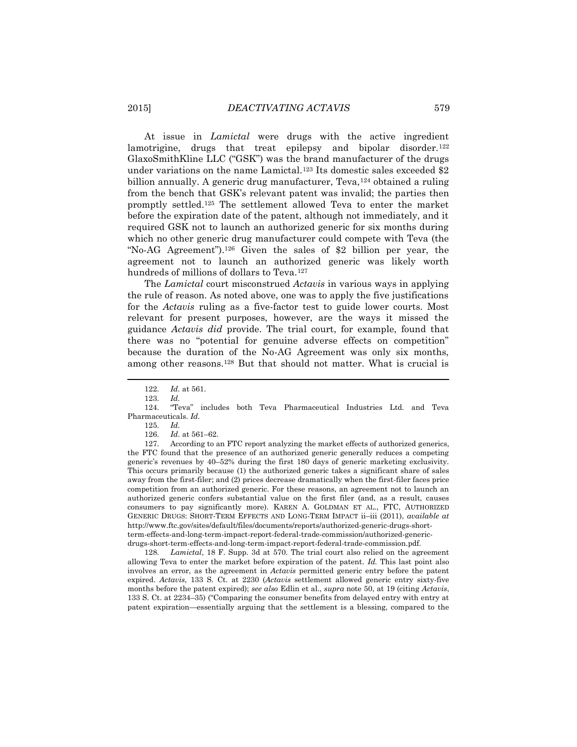At issue in *Lamictal* were drugs with the active ingredient lamotrigine, drugs that treat epilepsy and bipolar disorder.<sup>122</sup> GlaxoSmithKline LLC ("GSK") was the brand manufacturer of the drugs under variations on the name Lamictal.<sup>123</sup> Its domestic sales exceeded \$2 billion annually. A generic drug manufacturer, Teva,<sup>124</sup> obtained a ruling from the bench that GSK's relevant patent was invalid; the parties then promptly settled.<sup>125</sup> The settlement allowed Teva to enter the market before the expiration date of the patent, although not immediately, and it required GSK not to launch an authorized generic for six months during which no other generic drug manufacturer could compete with Teva (the "No-AG Agreement").<sup>126</sup> Given the sales of \$2 billion per year, the agreement not to launch an authorized generic was likely worth hundreds of millions of dollars to Teva.<sup>127</sup>

The *Lamictal* court misconstrued *Actavis* in various ways in applying the rule of reason. As noted above, one was to apply the five justifications for the *Actavis* ruling as a five-factor test to guide lower courts. Most relevant for present purposes, however, are the ways it missed the guidance *Actavis did* provide. The trial court, for example, found that there was no "potential for genuine adverse effects on competition" because the duration of the No-AG Agreement was only six months, among other reasons.<sup>128</sup> But that should not matter. What is crucial is

l

125. *Id.*

127. According to an FTC report analyzing the market effects of authorized generics, the FTC found that the presence of an authorized generic generally reduces a competing generic's revenues by 40–52% during the first 180 days of generic marketing exclusivity. This occurs primarily because (1) the authorized generic takes a significant share of sales away from the first-filer; and (2) prices decrease dramatically when the first-filer faces price competition from an authorized generic. For these reasons, an agreement not to launch an authorized generic confers substantial value on the first filer (and, as a result, causes consumers to pay significantly more). KAREN A. GOLDMAN ET AL., FTC, AUTHORIZED GENERIC DRUGS: SHORT-TERM EFFECTS AND LONG-TERM IMPACT ii–iii (2011), *available at*  http://www.ftc.gov/sites/default/files/documents/reports/authorized-generic-drugs-shortterm-effects-and-long-term-impact-report-federal-trade-commission/authorized-genericdrugs-short-term-effects-and-long-term-impact-report-federal-trade-commission.pdf.

128. *Lamictal*, 18 F. Supp. 3d at 570. The trial court also relied on the agreement allowing Teva to enter the market before expiration of the patent. *Id.* This last point also involves an error, as the agreement in *Actavis* permitted generic entry before the patent expired. *Actavis*, 133 S. Ct. at 2230 (*Actavis* settlement allowed generic entry sixty-five months before the patent expired); *see also* Edlin et al., *supra* note 50, at 19 (citing *Actavis*, 133 S. Ct. at 2234–35) ("Comparing the consumer benefits from delayed entry with entry at patent expiration—essentially arguing that the settlement is a blessing, compared to the

<sup>122.</sup> *Id.* at 561.

<sup>123.</sup> *Id.*

<sup>124.</sup> "Teva" includes both Teva Pharmaceutical Industries Ltd. and Teva Pharmaceuticals. *Id.*

<sup>126.</sup> *Id.* at 561–62.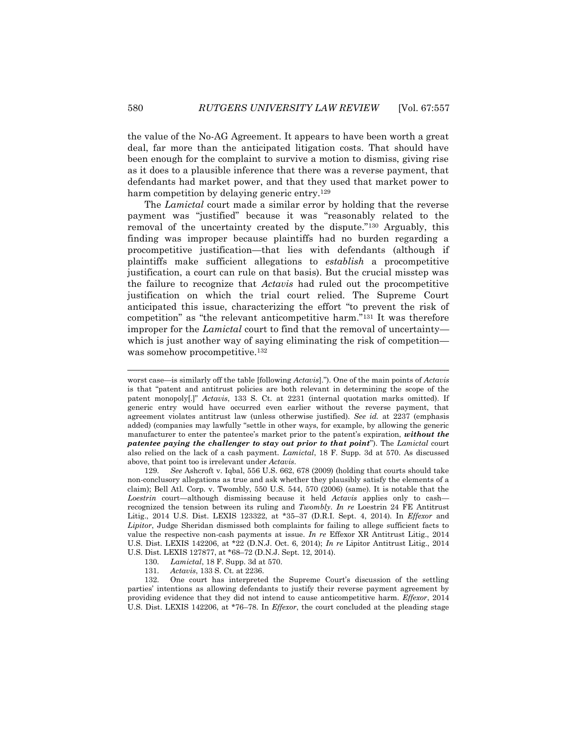the value of the No-AG Agreement. It appears to have been worth a great deal, far more than the anticipated litigation costs. That should have been enough for the complaint to survive a motion to dismiss, giving rise as it does to a plausible inference that there was a reverse payment, that defendants had market power, and that they used that market power to harm competition by delaying generic entry.<sup>129</sup>

The *Lamictal* court made a similar error by holding that the reverse payment was "justified" because it was "reasonably related to the removal of the uncertainty created by the dispute."<sup>130</sup> Arguably, this finding was improper because plaintiffs had no burden regarding a procompetitive justification—that lies with defendants (although if plaintiffs make sufficient allegations to *establish* a procompetitive justification, a court can rule on that basis). But the crucial misstep was the failure to recognize that *Actavis* had ruled out the procompetitive justification on which the trial court relied. The Supreme Court anticipated this issue, characterizing the effort "to prevent the risk of competition" as "the relevant anticompetitive harm."<sup>131</sup> It was therefore improper for the *Lamictal* court to find that the removal of uncertainty which is just another way of saying eliminating the risk of competition was somehow procompetitive.<sup>132</sup>

worst case—is similarly off the table [following *Actavis*]."). One of the main points of *Actavis* is that "patent and antitrust policies are both relevant in determining the scope of the patent monopoly[.]" *Actavis*, 133 S. Ct. at 2231 (internal quotation marks omitted). If generic entry would have occurred even earlier without the reverse payment, that agreement violates antitrust law (unless otherwise justified). *See id.* at 2237 (emphasis added) (companies may lawfully "settle in other ways, for example, by allowing the generic manufacturer to enter the patentee's market prior to the patent's expiration, *without the patentee paying the challenger to stay out prior to that point*"). The *Lamictal* court also relied on the lack of a cash payment. *Lamictal*, 18 F. Supp. 3d at 570. As discussed above, that point too is irrelevant under *Actavis*.

<sup>129.</sup> *See* Ashcroft v. Iqbal, 556 U.S. 662, 678 (2009) (holding that courts should take non-conclusory allegations as true and ask whether they plausibly satisfy the elements of a claim); Bell Atl. Corp. v. Twombly, 550 U.S. 544, 570 (2006) (same). It is notable that the *Loestrin* court—although dismissing because it held *Actavis* applies only to cash recognized the tension between its ruling and *Twombly*. *In re* Loestrin 24 FE Antitrust Litig., 2014 U.S. Dist. LEXIS 123322, at \*35–37 (D.R.I. Sept. 4, 2014). In *Effexor* and *Lipitor*, Judge Sheridan dismissed both complaints for failing to allege sufficient facts to value the respective non-cash payments at issue. *In re* Effexor XR Antitrust Litig., 2014 U.S. Dist. LEXIS 142206, at \*22 (D.N.J. Oct. 6, 2014); *In re* Lipitor Antitrust Litig., 2014 U.S. Dist. LEXIS 127877, at \*68–72 (D.N.J. Sept. 12, 2014).

<sup>130.</sup> *Lamictal*, 18 F. Supp. 3d at 570.

<sup>131.</sup> *Actavis*, 133 S. Ct. at 2236.

<sup>132.</sup> One court has interpreted the Supreme Court's discussion of the settling parties' intentions as allowing defendants to justify their reverse payment agreement by providing evidence that they did not intend to cause anticompetitive harm. *Effexor*, 2014 U.S. Dist. LEXIS 142206, at \*76–78. In *Effexor*, the court concluded at the pleading stage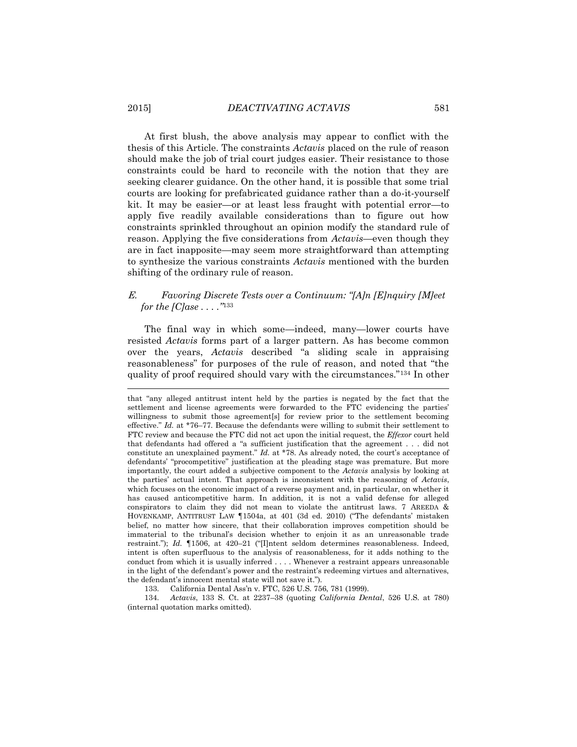At first blush, the above analysis may appear to conflict with the thesis of this Article. The constraints *Actavis* placed on the rule of reason should make the job of trial court judges easier. Their resistance to those constraints could be hard to reconcile with the notion that they are seeking clearer guidance. On the other hand, it is possible that some trial courts are looking for prefabricated guidance rather than a do-it-yourself kit. It may be easier—or at least less fraught with potential error—to apply five readily available considerations than to figure out how constraints sprinkled throughout an opinion modify the standard rule of reason. Applying the five considerations from *Actavis*—even though they are in fact inapposite—may seem more straightforward than attempting to synthesize the various constraints *Actavis* mentioned with the burden shifting of the ordinary rule of reason.

## E. *Favoring Discrete Tests over a Continuum: "[A]n [E]nquiry [M]eet for the [C]ase . . . ."*<sup>133</sup>

The final way in which some—indeed, many—lower courts have resisted *Actavis* forms part of a larger pattern. As has become common over the years, *Actavis* described "a sliding scale in appraising reasonableness" for purposes of the rule of reason, and noted that "the quality of proof required should vary with the circumstances."<sup>134</sup> In other

133. California Dental Ass'n v. FTC, 526 U.S. 756, 781 (1999).

134. *Actavis*, 133 S. Ct. at 2237–38 (quoting *California Dental*, 526 U.S. at 780) (internal quotation marks omitted).

that "any alleged antitrust intent held by the parties is negated by the fact that the settlement and license agreements were forwarded to the FTC evidencing the parties' willingness to submit those agreement[s] for review prior to the settlement becoming effective." *Id.* at \*76–77. Because the defendants were willing to submit their settlement to FTC review and because the FTC did not act upon the initial request, the *Effexor* court held that defendants had offered a "a sufficient justification that the agreement . . . did not constitute an unexplained payment." *Id.* at \*78. As already noted, the court's acceptance of defendants' "procompetitive" justification at the pleading stage was premature. But more importantly, the court added a subjective component to the *Actavis* analysis by looking at the parties' actual intent. That approach is inconsistent with the reasoning of *Actavis*, which focuses on the economic impact of a reverse payment and, in particular, on whether it has caused anticompetitive harm. In addition, it is not a valid defense for alleged conspirators to claim they did not mean to violate the antitrust laws. 7 AREEDA & HOVENKAMP, ANTITRUST LAW ¶1504a, at 401 (3d ed. 2010) ("The defendants' mistaken belief, no matter how sincere, that their collaboration improves competition should be immaterial to the tribunal's decision whether to enjoin it as an unreasonable trade restraint."); *Id.* ¶1506, at 420–21 ("[I]ntent seldom determines reasonableness. Indeed, intent is often superfluous to the analysis of reasonableness, for it adds nothing to the conduct from which it is usually inferred . . . . Whenever a restraint appears unreasonable in the light of the defendant's power and the restraint's redeeming virtues and alternatives, the defendant's innocent mental state will not save it.").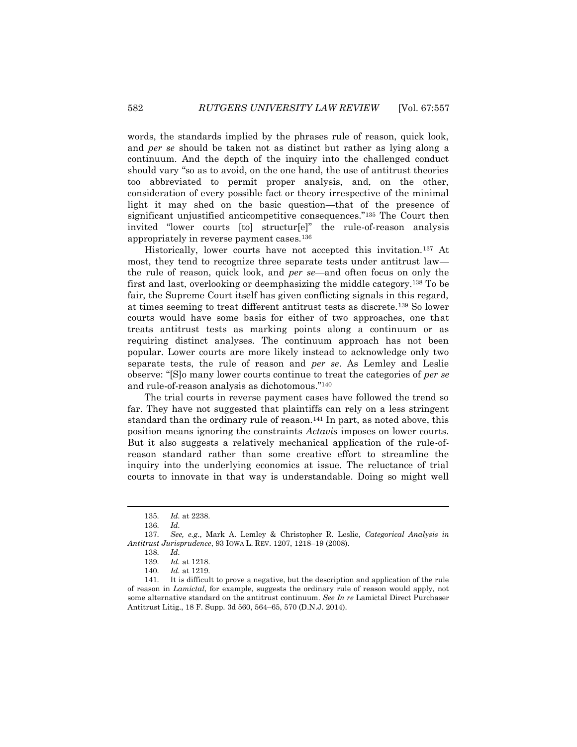words, the standards implied by the phrases rule of reason, quick look, and *per se* should be taken not as distinct but rather as lying along a continuum. And the depth of the inquiry into the challenged conduct should vary "so as to avoid, on the one hand, the use of antitrust theories too abbreviated to permit proper analysis, and, on the other, consideration of every possible fact or theory irrespective of the minimal light it may shed on the basic question—that of the presence of significant unjustified anticompetitive consequences."<sup>135</sup> The Court then invited "lower courts [to] structur[e]" the rule-of-reason analysis appropriately in reverse payment cases.<sup>136</sup>

Historically, lower courts have not accepted this invitation.<sup>137</sup> At most, they tend to recognize three separate tests under antitrust law the rule of reason, quick look, and *per se*—and often focus on only the first and last, overlooking or deemphasizing the middle category.<sup>138</sup> To be fair, the Supreme Court itself has given conflicting signals in this regard, at times seeming to treat different antitrust tests as discrete.<sup>139</sup> So lower courts would have some basis for either of two approaches, one that treats antitrust tests as marking points along a continuum or as requiring distinct analyses. The continuum approach has not been popular. Lower courts are more likely instead to acknowledge only two separate tests, the rule of reason and *per se*. As Lemley and Leslie observe: "[S]o many lower courts continue to treat the categories of *per se* and rule-of-reason analysis as dichotomous."<sup>140</sup>

The trial courts in reverse payment cases have followed the trend so far. They have not suggested that plaintiffs can rely on a less stringent standard than the ordinary rule of reason.<sup>141</sup> In part, as noted above, this position means ignoring the constraints *Actavis* imposes on lower courts. But it also suggests a relatively mechanical application of the rule-ofreason standard rather than some creative effort to streamline the inquiry into the underlying economics at issue. The reluctance of trial courts to innovate in that way is understandable. Doing so might well

<sup>135.</sup> *Id.* at 2238.

<sup>136.</sup> *Id.*

<sup>137.</sup> *See, e.g*., Mark A. Lemley & Christopher R. Leslie, *Categorical Analysis in Antitrust Jurisprudence*, 93 IOWA L. REV. 1207, 1218–19 (2008).

<sup>138.</sup> *Id.*

<sup>139.</sup> *Id.* at 1218.

<sup>140.</sup> *Id.* at 1219.

<sup>141.</sup> It is difficult to prove a negative, but the description and application of the rule of reason in *Lamictal*, for example, suggests the ordinary rule of reason would apply, not some alternative standard on the antitrust continuum. *See In re* Lamictal Direct Purchaser Antitrust Litig., 18 F. Supp. 3d 560, 564–65, 570 (D.N.J. 2014).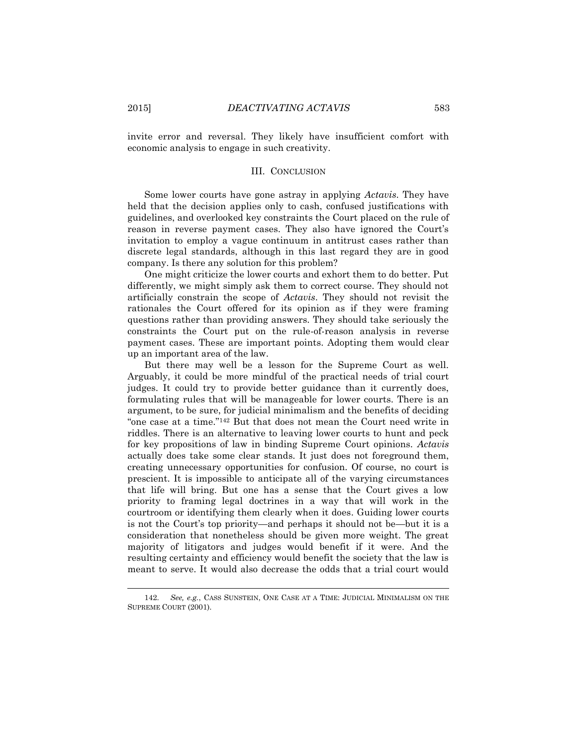invite error and reversal. They likely have insufficient comfort with economic analysis to engage in such creativity.

#### III. CONCLUSION

Some lower courts have gone astray in applying *Actavis*. They have held that the decision applies only to cash, confused justifications with guidelines, and overlooked key constraints the Court placed on the rule of reason in reverse payment cases. They also have ignored the Court's invitation to employ a vague continuum in antitrust cases rather than discrete legal standards, although in this last regard they are in good company. Is there any solution for this problem?

One might criticize the lower courts and exhort them to do better. Put differently, we might simply ask them to correct course. They should not artificially constrain the scope of *Actavis*. They should not revisit the rationales the Court offered for its opinion as if they were framing questions rather than providing answers. They should take seriously the constraints the Court put on the rule-of-reason analysis in reverse payment cases. These are important points. Adopting them would clear up an important area of the law.

But there may well be a lesson for the Supreme Court as well. Arguably, it could be more mindful of the practical needs of trial court judges. It could try to provide better guidance than it currently does, formulating rules that will be manageable for lower courts. There is an argument, to be sure, for judicial minimalism and the benefits of deciding "one case at a time."<sup>142</sup> But that does not mean the Court need write in riddles. There is an alternative to leaving lower courts to hunt and peck for key propositions of law in binding Supreme Court opinions. *Actavis* actually does take some clear stands. It just does not foreground them, creating unnecessary opportunities for confusion. Of course, no court is prescient. It is impossible to anticipate all of the varying circumstances that life will bring. But one has a sense that the Court gives a low priority to framing legal doctrines in a way that will work in the courtroom or identifying them clearly when it does. Guiding lower courts is not the Court's top priority—and perhaps it should not be—but it is a consideration that nonetheless should be given more weight. The great majority of litigators and judges would benefit if it were. And the resulting certainty and efficiency would benefit the society that the law is meant to serve. It would also decrease the odds that a trial court would

<sup>142.</sup> *See, e.g.*, CASS SUNSTEIN, ONE CASE AT A TIME: JUDICIAL MINIMALISM ON THE SUPREME COURT (2001).